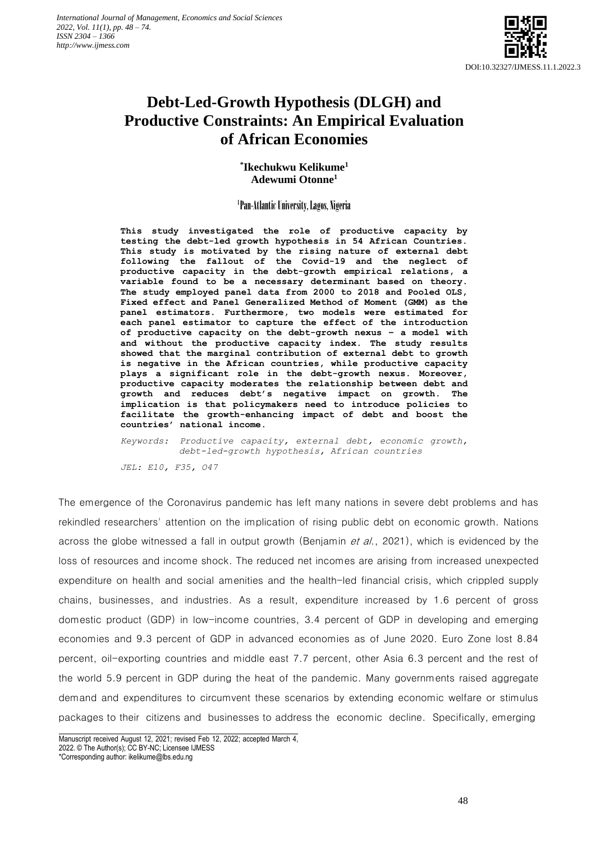

## **Debt-Led-Growth Hypothesis (DLGH) and Productive Constraints: An Empirical Evaluation of African Economies**

**\* Ikechukwu Kelikume<sup>1</sup> Adewumi Otonne<sup>1</sup>**

### 1 Pan-Atlantic University, Lagos, Nigeria

**This study investigated the role of productive capacity by testing the debt-led growth hypothesis in 54 African Countries. This study is motivated by the rising nature of external debt following the fallout of the Covid-19 and the neglect of productive capacity in the debt-growth empirical relations, a variable found to be a necessary determinant based on theory. The study employed panel data from 2000 to 2018 and Pooled OLS, Fixed effect and Panel Generalized Method of Moment (GMM) as the panel estimators. Furthermore, two models were estimated for each panel estimator to capture the effect of the introduction of productive capacity on the debt-growth nexus – a model with and without the productive capacity index. The study results showed that the marginal contribution of external debt to growth is negative in the African countries, while productive capacity plays a significant role in the debt-growth nexus. Moreover, productive capacity moderates the relationship between debt and growth and reduces debt's negative impact on growth. The implication is that policymakers need to introduce policies to facilitate the growth-enhancing impact of debt and boost the countries' national income.**

*Keywords: Productive capacity, external debt, economic growth, debt-led-growth hypothesis, African countries JEL: E10, F35, O47*

The emergence of the Coronavirus pandemic has left many nations in severe debt problems and has rekindled researchers' attention on the implication of rising public debt on economic growth. Nations across the globe witnessed a fall in output growth (Benjamin et al., 2021), which is evidenced by the loss of resources and income shock. The reduced net incomes are arising from increased unexpected expenditure on health and social amenities and the health-led financial crisis, which crippled supply chains, businesses, and industries. As a result, expenditure increased by 1.6 percent of gross domestic product (GDP) in low-income countries, 3.4 percent of GDP in developing and emerging economies and 9.3 percent of GDP in advanced economies as of June 2020. Euro Zone lost 8.84 percent, oil-exporting countries and middle east 7.7 percent, other Asia 6.3 percent and the rest of the world 5.9 percent in GDP during the heat of the pandemic. Many governments raised aggregate demand and expenditures to circumvent these scenarios by extending economic welfare or stimulus packages to their citizens and businesses to address the economic decline. Specifically, emerging

Manuscript received August 12, 2021; revised Feb 12, 2022; accepted March 4, 2022. © The Author(s); CC BY-NC; Licensee IJMESS

<sup>\*</sup>Corresponding author: ikelikume@lbs.edu.ng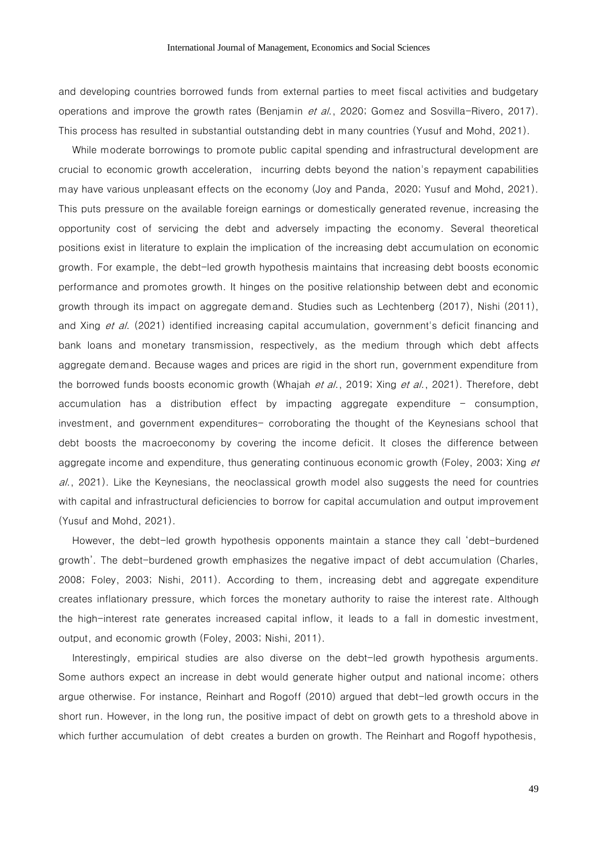and developing countries borrowed funds from external parties to meet fiscal activities and budgetary operations and improve the growth rates (Benjamin et al., 2020; Gomez and Sosvilla-Rivero, 2017). This process has resulted in substantial outstanding debt in many countries (Yusuf and Mohd, 2021).

While moderate borrowings to promote public capital spending and infrastructural development are crucial to economic growth acceleration, incurring debts beyond the nation's repayment capabilities may have various unpleasant effects on the economy (Joy and Panda, [2020;](https://www.tandfonline.com/doi/full/10.1080/23322039.2021.1946249) Yusuf and Mohd, 2021). This puts pressure on the available foreign earnings or domestically generated revenue, increasing the opportunity cost of servicing the debt and adversely impacting the economy. Several theoretical positions exist in literature to explain the implication of the increasing debt accumulation on economic growth. For example, the debt-led growth hypothesis maintains that increasing debt boosts economic performance and promotes growth. It hinges on the positive relationship between debt and economic growth through its impact on aggregate demand. Studies such as Lechtenberg (2017), Nishi (2011), and Xing et al. (2021) identified increasing capital accumulation, government's deficit financing and bank loans and monetary transmission, respectively, as the medium through which debt affects aggregate demand. Because wages and prices are rigid in the short run, government expenditure from the borrowed funds boosts economic growth (Whajah et al., 2019; Xing et al., 2021). Therefore, debt accumulation has a distribution effect by impacting aggregate expenditure  $-$  consumption, investment, and government expenditures- corroborating the thought of the Keynesians school that debt boosts the macroeconomy by covering the income deficit. It closes the difference between aggregate income and expenditure, thus generating continuous economic growth (Foley, 2003; Xing et al., 2021). Like the Keynesians, the neoclassical growth model also suggests the need for countries with capital and infrastructural deficiencies to borrow for capital accumulation and output improvement (Yusuf and Mohd, 2021).

However, the debt-led growth hypothesis opponents maintain a stance they call 'debt-burdened growth'. The debt-burdened growth emphasizes the negative impact of debt accumulation (Charles, 2008; Foley, 2003; Nishi, 2011). According to them, increasing debt and aggregate expenditure creates inflationary pressure, which forces the monetary authority to raise the interest rate. Although the high-interest rate generates increased capital inflow, it leads to a fall in domestic investment, output, and economic growth (Foley, 2003; Nishi, 2011).

Interestingly, empirical studies are also diverse on the debt-led growth hypothesis arguments. Some authors expect an increase in debt would generate higher output and national income; others argue otherwise. For instance, Reinhart and Rogoff (2010) argued that debt-led growth occurs in the short run. However, in the long run, the positive impact of debt on growth gets to a threshold above in which further accumulation of debt creates a burden on growth. The Reinhart and Rogoff hypothesis,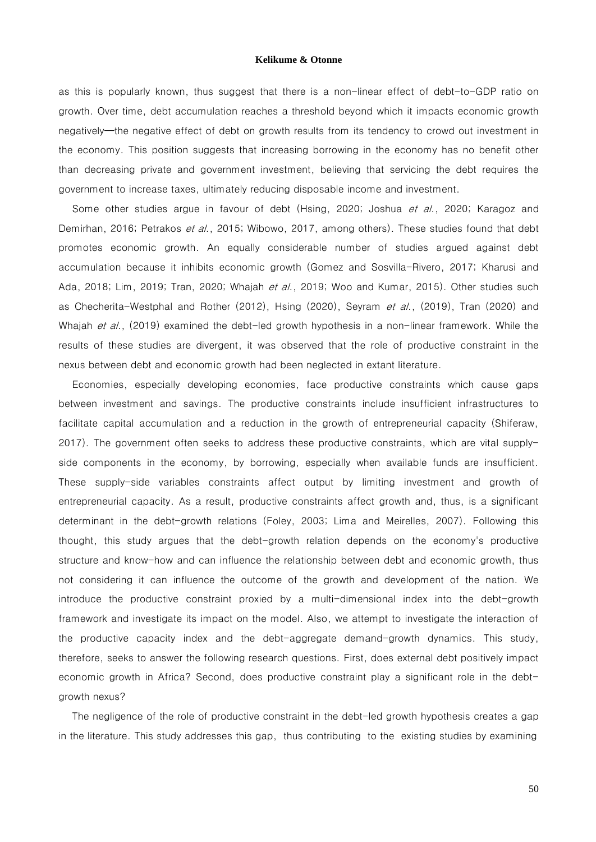as this is popularly known, thus suggest that there is a non-linear effect of debt-to-GDP ratio on growth. Over time, debt accumulation reaches a threshold beyond which it impacts economic growth negatively—the negative effect of debt on growth results from its tendency to crowd out investment in the economy. This position suggests that increasing borrowing in the economy has no benefit other than decreasing private and government investment, believing that servicing the debt requires the government to increase taxes, ultimately reducing disposable income and investment.

Some other studies argue in favour of debt (Hsing, 2020; Joshua et al., 2020; Karagoz and Demirhan, 2016; Petrakos et al., 2015; Wibowo, 2017, among others). These studies found that debt promotes economic growth. An equally considerable number of studies argued against debt accumulation because it inhibits economic growth (Gomez and Sosvilla-Rivero, 2017; Kharusi and Ada, 2018; Lim, 2019; Tran, 2020; Whajah et al., 2019; Woo and Kumar, 2015). Other studies such as Checherita-Westphal and Rother (2012), Hsing (2020), Seyram et al., (2019), Tran (2020) and Whajah et al., (2019) examined the debt-led growth hypothesis in a non-linear framework. While the results of these studies are divergent, it was observed that the role of productive constraint in the nexus between debt and economic growth had been neglected in extant literature.

Economies, especially developing economies, face productive constraints which cause gaps between investment and savings. The productive constraints include insufficient infrastructures to facilitate capital accumulation and a reduction in the growth of entrepreneurial capacity (Shiferaw, 2017). The government often seeks to address these productive constraints, which are vital supplyside components in the economy, by borrowing, especially when available funds are insufficient. These supply-side variables constraints affect output by limiting investment and growth of entrepreneurial capacity. As a result, productive constraints affect growth and, thus, is a significant determinant in the debt-growth relations (Foley, 2003; Lima and Meirelles, 2007). Following this thought, this study argues that the debt-growth relation depends on the economy's productive structure and know-how and can influence the relationship between debt and economic growth, thus not considering it can influence the outcome of the growth and development of the nation. We introduce the productive constraint proxied by a multi-dimensional index into the debt-growth framework and investigate its impact on the model. Also, we attempt to investigate the interaction of the productive capacity index and the debt-aggregate demand-growth dynamics. This study, therefore, seeks to answer the following research questions. First, does external debt positively impact economic growth in Africa? Second, does productive constraint play a significant role in the debtgrowth nexus?

The negligence of the role of productive constraint in the debt-led growth hypothesis creates a gap in the literature. This study addresses this gap, thus contributing to the existing studies by examining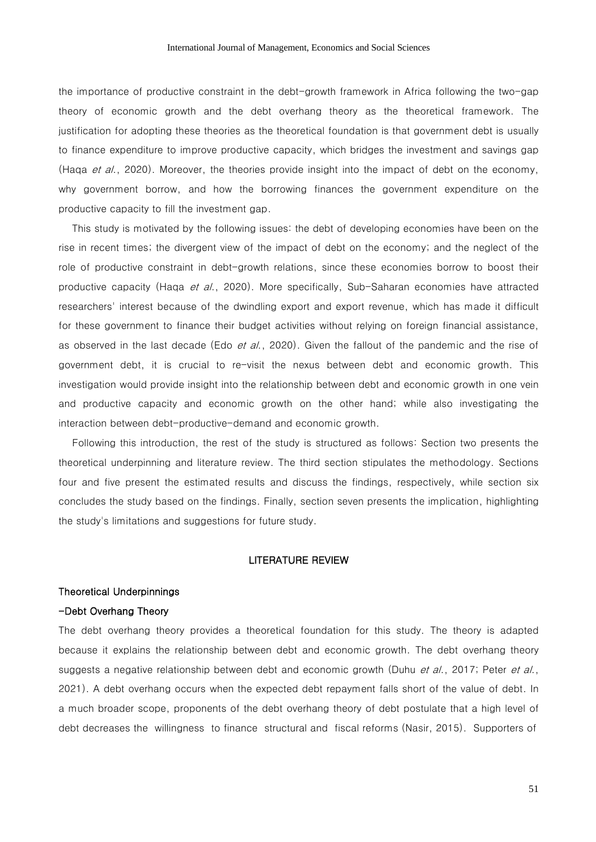the importance of productive constraint in the debt-growth framework in Africa following the two-gap theory of economic growth and the debt overhang theory as the theoretical framework. The justification for adopting these theories as the theoretical foundation is that government debt is usually to finance expenditure to improve productive capacity, which bridges the investment and savings gap (Haqa et al., 2020). Moreover, the theories provide insight into the impact of debt on the economy, why government borrow, and how the borrowing finances the government expenditure on the productive capacity to fill the investment gap.

This study is motivated by the following issues: the debt of developing economies have been on the rise in recent times; the divergent view of the impact of debt on the economy; and the neglect of the role of productive constraint in debt-growth relations, since these economies borrow to boost their productive capacity (Haqa et al., 2020). More specifically, Sub-Saharan economies have attracted researchers' interest because of the dwindling export and export revenue, which has made it difficult for these government to finance their budget activities without relying on foreign financial assistance, as observed in the last decade (Edo *et al.*, 2020). Given the fallout of the pandemic and the rise of government debt, it is crucial to re-visit the nexus between debt and economic growth. This investigation would provide insight into the relationship between debt and economic growth in one vein and productive capacity and economic growth on the other hand; while also investigating the interaction between debt-productive-demand and economic growth.

Following this introduction, the rest of the study is structured as follows: Section two presents the theoretical underpinning and literature review. The third section stipulates the methodology. Sections four and five present the estimated results and discuss the findings, respectively, while section six concludes the study based on the findings. Finally, section seven presents the implication, highlighting the study's limitations and suggestions for future study.

### LITERATURE REVIEW

### Theoretical Underpinnings

### -Debt Overhang Theory

The debt overhang theory provides a theoretical foundation for this study. The theory is adapted because it explains the relationship between debt and economic growth. The debt overhang theory suggests a negative relationship between debt and economic growth (Duhu *et al.*, 2017; Peter *et al.*, 2021). A debt overhang occurs when the expected debt repayment falls short of the value of debt. In a much broader scope, proponents of the debt overhang theory of debt postulate that a high level of debt decreases the willingness to finance structural and fiscal reforms (Nasir, 2015). Supporters of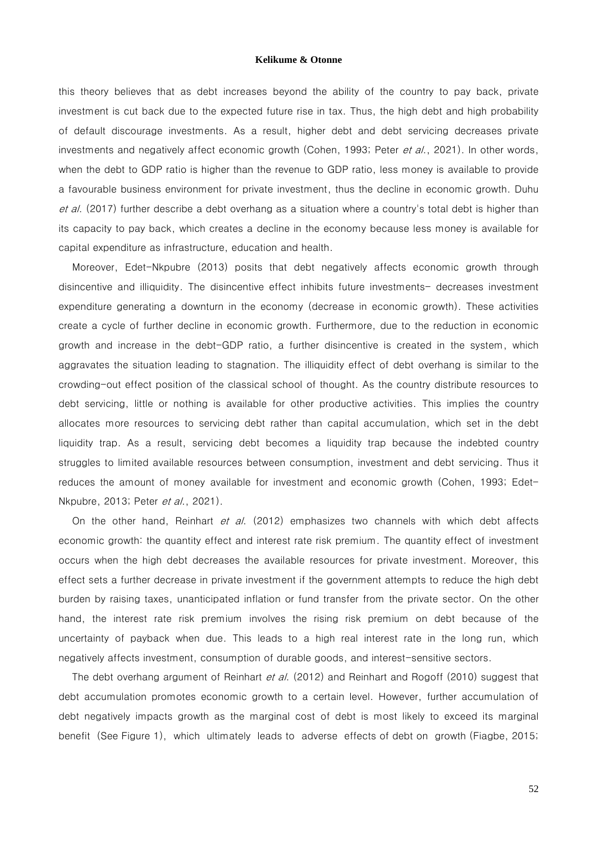this theory believes that as debt increases beyond the ability of the country to pay back, private investment is cut back due to the expected future rise in tax. Thus, the high debt and high probability of default discourage investments. As a result, higher debt and debt servicing decreases private investments and negatively affect economic growth (Cohen, 1993; Peter et al., 2021). In other words, when the debt to GDP ratio is higher than the revenue to GDP ratio, less money is available to provide a favourable business environment for private investment, thus the decline in economic growth. Duhu et al. (2017) further describe a debt overhang as a situation where a country's total debt is higher than its capacity to pay back, which creates a decline in the economy because less money is available for capital expenditure as infrastructure, education and health.

Moreover, Edet-Nkpubre (2013) posits that debt negatively affects economic growth through disincentive and illiquidity. The disincentive effect inhibits future investments- decreases investment expenditure generating a downturn in the economy (decrease in economic growth). These activities create a cycle of further decline in economic growth. Furthermore, due to the reduction in economic growth and increase in the debt-GDP ratio, a further disincentive is created in the system, which aggravates the situation leading to stagnation. The illiquidity effect of debt overhang is similar to the crowding-out effect position of the classical school of thought. As the country distribute resources to debt servicing, little or nothing is available for other productive activities. This implies the country allocates more resources to servicing debt rather than capital accumulation, which set in the debt liquidity trap. As a result, servicing debt becomes a liquidity trap because the indebted country struggles to limited available resources between consumption, investment and debt servicing. Thus it reduces the amount of money available for investment and economic growth (Cohen, 1993; Edet-Nkpubre, 2013; Peter et al., 2021).

On the other hand, Reinhart et al. (2012) emphasizes two channels with which debt affects economic growth: the quantity effect and interest rate risk premium. The quantity effect of investment occurs when the high debt decreases the available resources for private investment. Moreover, this effect sets a further decrease in private investment if the government attempts to reduce the high debt burden by raising taxes, unanticipated inflation or fund transfer from the private sector. On the other hand, the interest rate risk premium involves the rising risk premium on debt because of the uncertainty of payback when due. This leads to a high real interest rate in the long run, which negatively affects investment, consumption of durable goods, and interest-sensitive sectors.

The debt overhang argument of Reinhart et al. (2012) and Reinhart and Rogoff (2010) suggest that debt accumulation promotes economic growth to a certain level. However, further accumulation of debt negatively impacts growth as the marginal cost of debt is most likely to exceed its marginal benefit (See Figure 1), which ultimately leads to adverse effects of debt on growth (Fiagbe, 2015;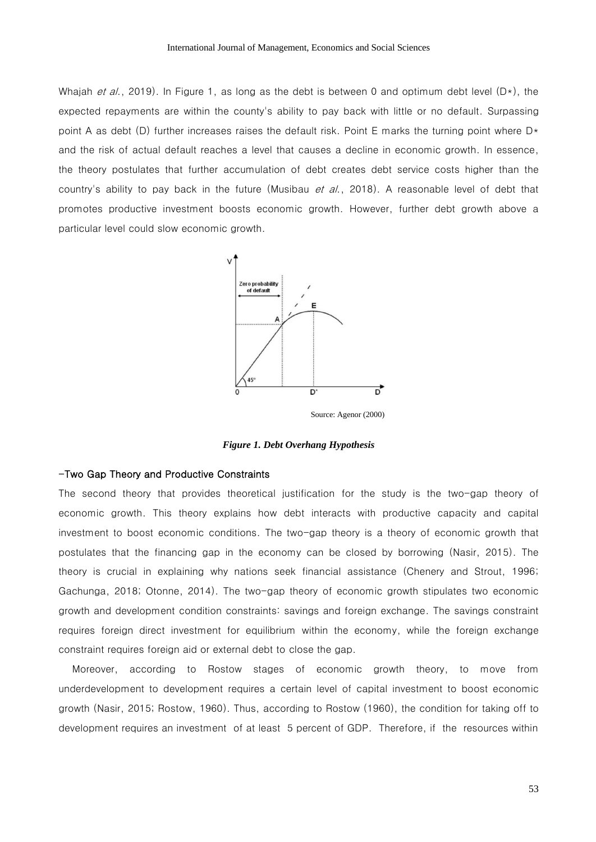Whajah et al., 2019). In Figure 1, as long as the debt is between 0 and optimum debt level  $(D*)$ , the expected repayments are within the county's ability to pay back with little or no default. Surpassing point A as debt (D) further increases raises the default risk. Point E marks the turning point where  $D*$ and the risk of actual default reaches a level that causes a decline in economic growth. In essence, the theory postulates that further accumulation of debt creates debt service costs higher than the country's ability to pay back in the future (Musibau *et al.*, 2018). A reasonable level of debt that promotes productive investment boosts economic growth. However, further debt growth above a particular level could slow economic growth.



Source: Agenor (2000)

*Figure 1. Debt Overhang Hypothesis* 

#### -Two Gap Theory and Productive Constraints

The second theory that provides theoretical justification for the study is the two-gap theory of economic growth. This theory explains how debt interacts with productive capacity and capital investment to boost economic conditions. The two-gap theory is a theory of economic growth that postulates that the financing gap in the economy can be closed by borrowing (Nasir, 2015). The theory is crucial in explaining why nations seek financial assistance (Chenery and Strout, 1996; Gachunga, 2018; Otonne, 2014). The two-gap theory of economic growth stipulates two economic growth and development condition constraints: savings and foreign exchange. The savings constraint requires foreign direct investment for equilibrium within the economy, while the foreign exchange constraint requires foreign aid or external debt to close the gap.

Moreover, according to Rostow stages of economic growth theory, to move from underdevelopment to development requires a certain level of capital investment to boost economic growth (Nasir, 2015; Rostow, 1960). Thus, according to Rostow (1960), the condition for taking off to development requires an investment of at least 5 percent of GDP. Therefore, if the resources within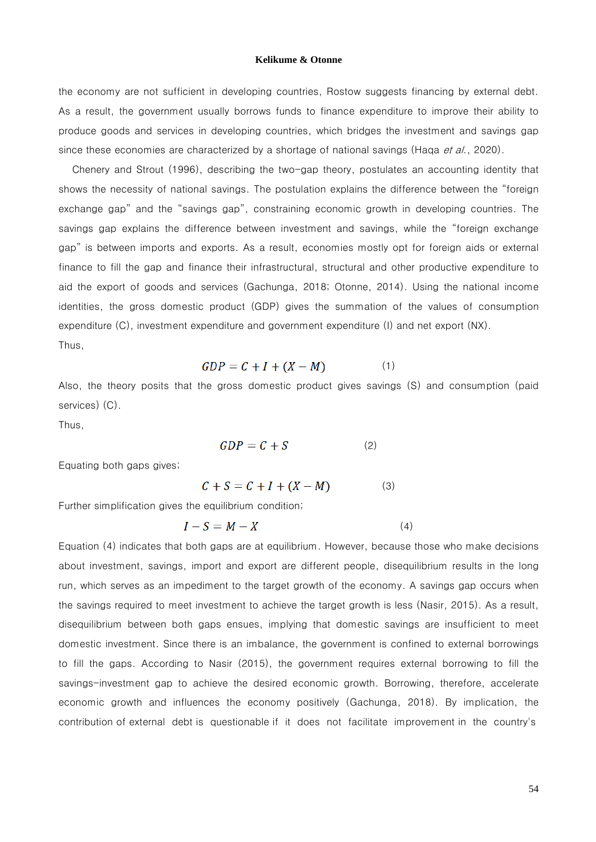the economy are not sufficient in developing countries, Rostow suggests financing by external debt. As a result, the government usually borrows funds to finance expenditure to improve their ability to produce goods and services in developing countries, which bridges the investment and savings gap since these economies are characterized by a shortage of national savings (Haqa et al., 2020).

Chenery and Strout (1996), describing the two-gap theory, postulates an accounting identity that shows the necessity of national savings. The postulation explains the difference between the "foreign exchange gap" and the "savings gap", constraining economic growth in developing countries. The savings gap explains the difference between investment and savings, while the "foreign exchange gap" is between imports and exports. As a result, economies mostly opt for foreign aids or external finance to fill the gap and finance their infrastructural, structural and other productive expenditure to aid the export of goods and services (Gachunga, 2018; Otonne, 2014). Using the national income identities, the gross domestic product (GDP) gives the summation of the values of consumption expenditure (C), investment expenditure and government expenditure (I) and net export (NX). Thus,

$$
GDP = C + I + (X - M) \tag{1}
$$

Also, the theory posits that the gross domestic product gives savings (S) and consumption (paid services) (C).

Thus,

$$
GDP = C + S \tag{2}
$$

Equating both gaps gives;

$$
C + S = C + I + (X - M) \tag{3}
$$

Further simplification gives the equilibrium condition;

$$
I - S = M - X \tag{4}
$$

Equation (4) indicates that both gaps are at equilibrium. However, because those who make decisions about investment, savings, import and export are different people, disequilibrium results in the long run, which serves as an impediment to the target growth of the economy. A savings gap occurs when the savings required to meet investment to achieve the target growth is less (Nasir, 2015). As a result, disequilibrium between both gaps ensues, implying that domestic savings are insufficient to meet domestic investment. Since there is an imbalance, the government is confined to external borrowings to fill the gaps. According to Nasir (2015), the government requires external borrowing to fill the savings-investment gap to achieve the desired economic growth. Borrowing, therefore, accelerate economic growth and influences the economy positively (Gachunga, 2018). By implication, the contribution of external debt is questionable if it does not facilitate improvement in the country's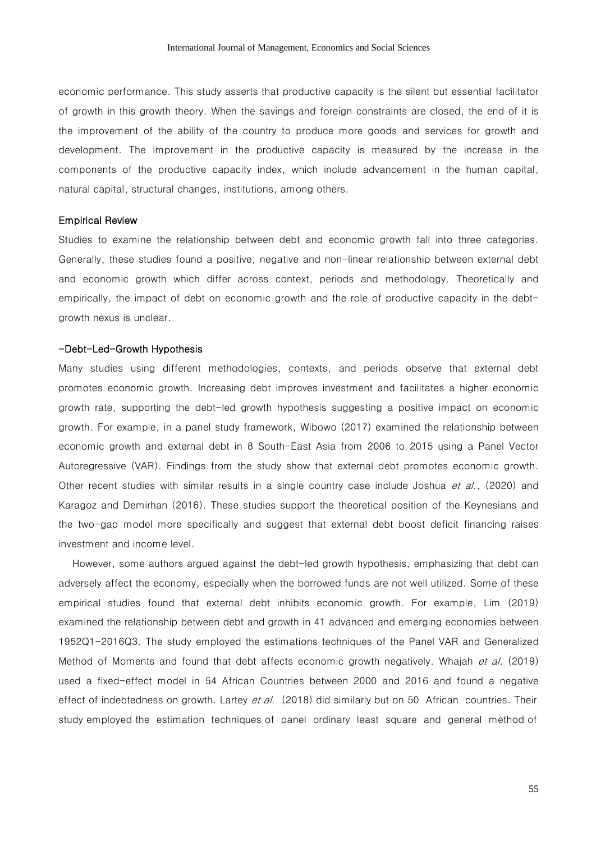economic performance. This study asserts that productive capacity is the silent but essential facilitator of growth in this growth theory. When the savings and foreign constraints are closed, the end of it is the improvement of the ability of the country to produce more goods and services for growth and development. The improvement in the productive capacity is measured by the increase in the components of the productive capacity index, which include advancement in the human capital, natural capital, structural changes, institutions, among others.

### Empirical Review

Studies to examine the relationship between debt and economic growth fall into three categories. Generally, these studies found a positive, negative and non-linear relationship between external debt and economic growth which differ across context, periods and methodology. Theoretically and empirically, the impact of debt on economic growth and the role of productive capacity in the debtgrowth nexus is unclear.

### -Debt-Led-Growth Hypothesis

Many studies using different methodologies, contexts, and periods observe that external debt promotes economic growth. Increasing debt improves investment and facilitates a higher economic growth rate, supporting the debt-led growth hypothesis suggesting a positive impact on economic growth. For example, in a panel study framework, Wibowo (2017) examined the relationship between economic growth and external debt in 8 South-East Asia from 2006 to 2015 using a Panel Vector Autoregressive (VAR). Findings from the study show that external debt promotes economic growth. Other recent studies with similar results in a single country case include Joshua et al., (2020) and Karagoz and Demirhan (2016). These studies support the theoretical position of the Keynesians and the two-gap model more specifically and suggest that external debt boost deficit financing raises investment and income level.

However, some authors argued against the debt-led growth hypothesis, emphasizing that debt can adversely affect the economy, especially when the borrowed funds are not well utilized. Some of these empirical studies found that external debt inhibits economic growth. For example, Lim (2019) examined the relationship between debt and growth in 41 advanced and emerging economies between 1952Q1-2016Q3. The study employed the estimations techniques of the Panel VAR and Generalized Method of Moments and found that debt affects economic growth negatively. Whajah et al. (2019) used a fixed-effect model in 54 African Countries between 2000 and 2016 and found a negative effect of indebtedness on growth. Lartey *et al.* (2018) did similarly but on 50 African countries. Their study employed the estimation techniques of panel ordinary least square and general method of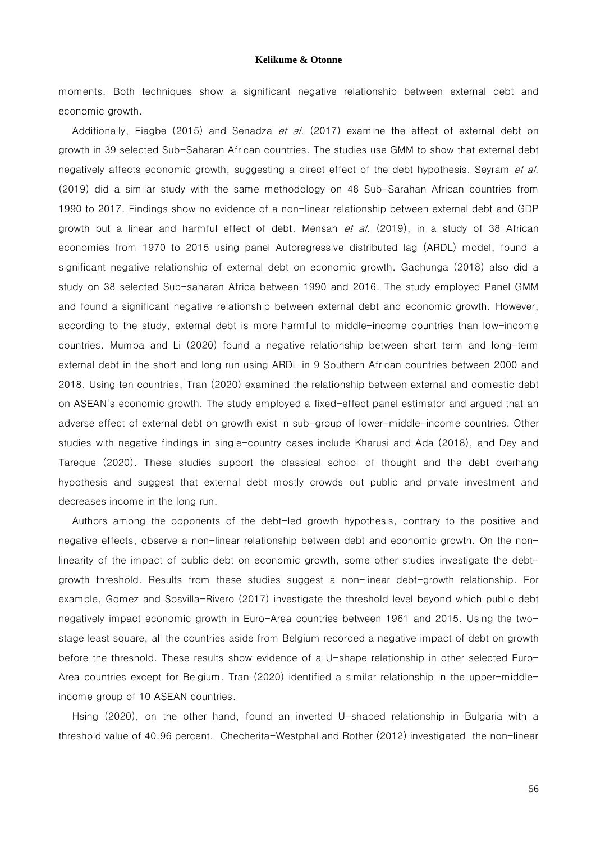moments. Both techniques show a significant negative relationship between external debt and economic growth.

Additionally, Fiagbe (2015) and Senadza et al. (2017) examine the effect of external debt on growth in 39 selected Sub-Saharan African countries. The studies use GMM to show that external debt negatively affects economic growth, suggesting a direct effect of the debt hypothesis. Seyram et al. (2019) did a similar study with the same methodology on 48 Sub-Sarahan African countries from 1990 to 2017. Findings show no evidence of a non-linear relationship between external debt and GDP growth but a linear and harmful effect of debt. Mensah et al. (2019), in a study of 38 African economies from 1970 to 2015 using panel Autoregressive distributed lag (ARDL) model, found a significant negative relationship of external debt on economic growth. Gachunga (2018) also did a study on 38 selected Sub-saharan Africa between 1990 and 2016. The study employed Panel GMM and found a significant negative relationship between external debt and economic growth. However, according to the study, external debt is more harmful to middle-income countries than low-income countries. Mumba and Li (2020) found a negative relationship between short term and long-term external debt in the short and long run using ARDL in 9 Southern African countries between 2000 and 2018. Using ten countries, Tran (2020) examined the relationship between external and domestic debt on ASEAN's economic growth. The study employed a fixed-effect panel estimator and argued that an adverse effect of external debt on growth exist in sub-group of lower-middle-income countries. Other studies with negative findings in single-country cases include Kharusi and Ada (2018), and Dey and Tareque (2020). These studies support the classical school of thought and the debt overhang hypothesis and suggest that external debt mostly crowds out public and private investment and decreases income in the long run.

Authors among the opponents of the debt-led growth hypothesis, contrary to the positive and negative effects, observe a non-linear relationship between debt and economic growth. On the nonlinearity of the impact of public debt on economic growth, some other studies investigate the debtgrowth threshold. Results from these studies suggest a non-linear debt-growth relationship. For example, Gomez and Sosvilla-Rivero (2017) investigate the threshold level beyond which public debt negatively impact economic growth in Euro-Area countries between 1961 and 2015. Using the twostage least square, all the countries aside from Belgium recorded a negative impact of debt on growth before the threshold. These results show evidence of a U-shape relationship in other selected Euro-Area countries except for Belgium. Tran (2020) identified a similar relationship in the upper-middleincome group of 10 ASEAN countries.

Hsing (2020), on the other hand, found an inverted U-shaped relationship in Bulgaria with a threshold value of 40.96 percent. Checherita-Westphal and Rother (2012) investigated the non-linear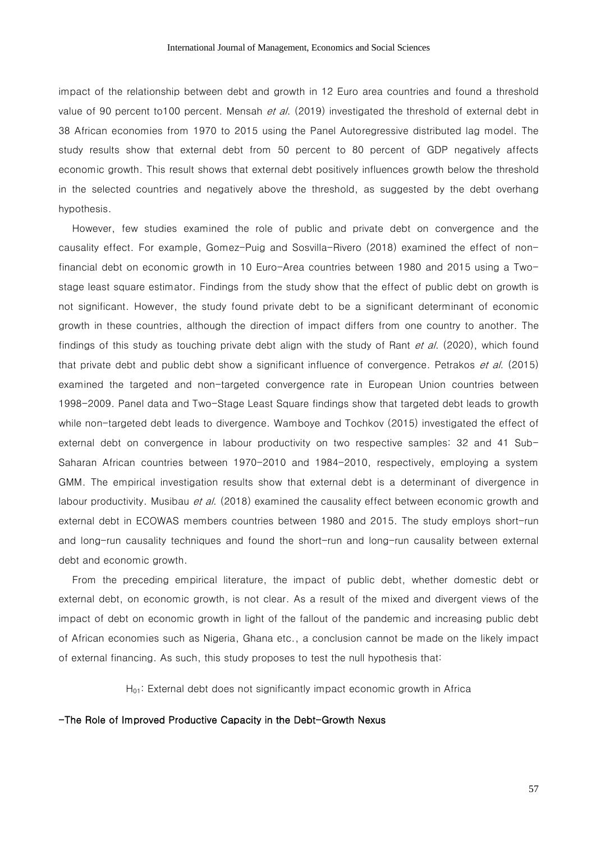impact of the relationship between debt and growth in 12 Euro area countries and found a threshold value of 90 percent to100 percent. Mensah et al. (2019) investigated the threshold of external debt in 38 African economies from 1970 to 2015 using the Panel Autoregressive distributed lag model. The study results show that external debt from 50 percent to 80 percent of GDP negatively affects economic growth. This result shows that external debt positively influences growth below the threshold in the selected countries and negatively above the threshold, as suggested by the debt overhang hypothesis.

However, few studies examined the role of public and private debt on convergence and the causality effect. For example, Gomez-Puig and Sosvilla-Rivero (2018) examined the effect of nonfinancial debt on economic growth in 10 Euro-Area countries between 1980 and 2015 using a Twostage least square estimator. Findings from the study show that the effect of public debt on growth is not significant. However, the study found private debt to be a significant determinant of economic growth in these countries, although the direction of impact differs from one country to another. The findings of this study as touching private debt align with the study of Rant et al. (2020), which found that private debt and public debt show a significant influence of convergence. Petrakos et al. (2015) examined the targeted and non-targeted convergence rate in European Union countries between 1998-2009. Panel data and Two-Stage Least Square findings show that targeted debt leads to growth while non-targeted debt leads to divergence. Wamboye and Tochkov (2015) investigated the effect of external debt on convergence in labour productivity on two respective samples: 32 and 41 Sub-Saharan African countries between 1970-2010 and 1984-2010, respectively, employing a system GMM. The empirical investigation results show that external debt is a determinant of divergence in labour productivity. Musibau *et al.* (2018) examined the causality effect between economic growth and external debt in ECOWAS members countries between 1980 and 2015. The study employs short-run and long-run causality techniques and found the short-run and long-run causality between external debt and economic growth.

From the preceding empirical literature, the impact of public debt, whether domestic debt or external debt, on economic growth, is not clear. As a result of the mixed and divergent views of the impact of debt on economic growth in light of the fallout of the pandemic and increasing public debt of African economies such as Nigeria, Ghana etc., a conclusion cannot be made on the likely impact of external financing. As such, this study proposes to test the null hypothesis that:

 $H_{01}$ : External debt does not significantly impact economic growth in Africa

### -The Role of Improved Productive Capacity in the Debt-Growth Nexus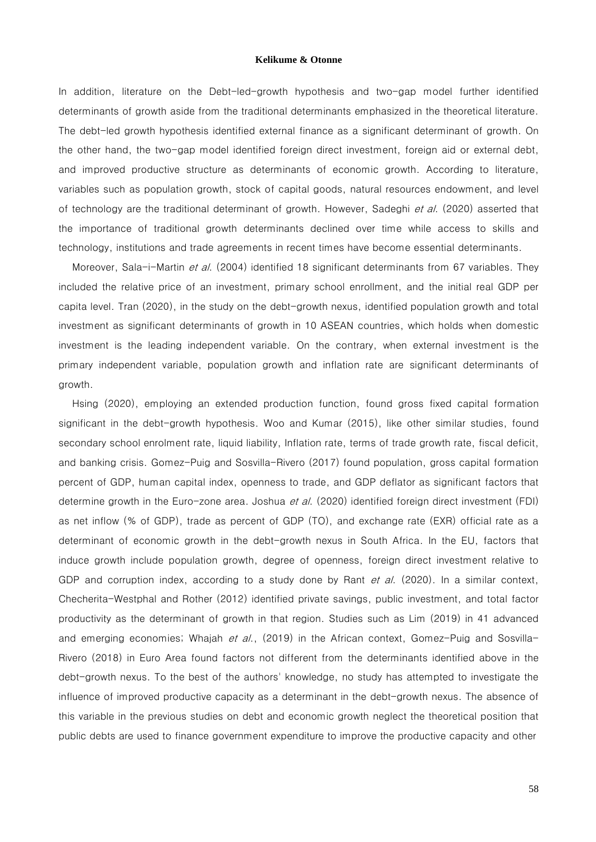In addition, literature on the Debt-led-growth hypothesis and two-gap model further identified determinants of growth aside from the traditional determinants emphasized in the theoretical literature. The debt-led growth hypothesis identified external finance as a significant determinant of growth. On the other hand, the two-gap model identified foreign direct investment, foreign aid or external debt, and improved productive structure as determinants of economic growth. According to literature, variables such as population growth, stock of capital goods, natural resources endowment, and level of technology are the traditional determinant of growth. However, Sadeghi et al. (2020) asserted that the importance of traditional growth determinants declined over time while access to skills and technology, institutions and trade agreements in recent times have become essential determinants.

Moreover, Sala-i-Martin et al. (2004) identified 18 significant determinants from 67 variables. They included the relative price of an investment, primary school enrollment, and the initial real GDP per capita level. Tran (2020), in the study on the debt-growth nexus, identified population growth and total investment as significant determinants of growth in 10 ASEAN countries, which holds when domestic investment is the leading independent variable. On the contrary, when external investment is the primary independent variable, population growth and inflation rate are significant determinants of growth.

Hsing (2020), employing an extended production function, found gross fixed capital formation significant in the debt-growth hypothesis. Woo and Kumar (2015), like other similar studies, found secondary school enrolment rate, liquid liability, Inflation rate, terms of trade growth rate, fiscal deficit, and banking crisis. Gomez-Puig and Sosvilla-Rivero (2017) found population, gross capital formation percent of GDP, human capital index, openness to trade, and GDP deflator as significant factors that determine growth in the Euro-zone area. Joshua *et al.* (2020) identified foreign direct investment (FDI) as net inflow (% of GDP), trade as percent of GDP (TO), and exchange rate (EXR) official rate as a determinant of economic growth in the debt-growth nexus in South Africa. In the EU, factors that induce growth include population growth, degree of openness, foreign direct investment relative to GDP and corruption index, according to a study done by Rant et al. (2020). In a similar context, Checherita-Westphal and Rother (2012) identified private savings, public investment, and total factor productivity as the determinant of growth in that region. Studies such as Lim (2019) in 41 advanced and emerging economies; Whajah et al., (2019) in the African context, Gomez-Puig and Sosvilla-Rivero (2018) in Euro Area found factors not different from the determinants identified above in the debt-growth nexus. To the best of the authors' knowledge, no study has attempted to investigate the influence of improved productive capacity as a determinant in the debt-growth nexus. The absence of this variable in the previous studies on debt and economic growth neglect the theoretical position that public debts are used to finance government expenditure to improve the productive capacity and other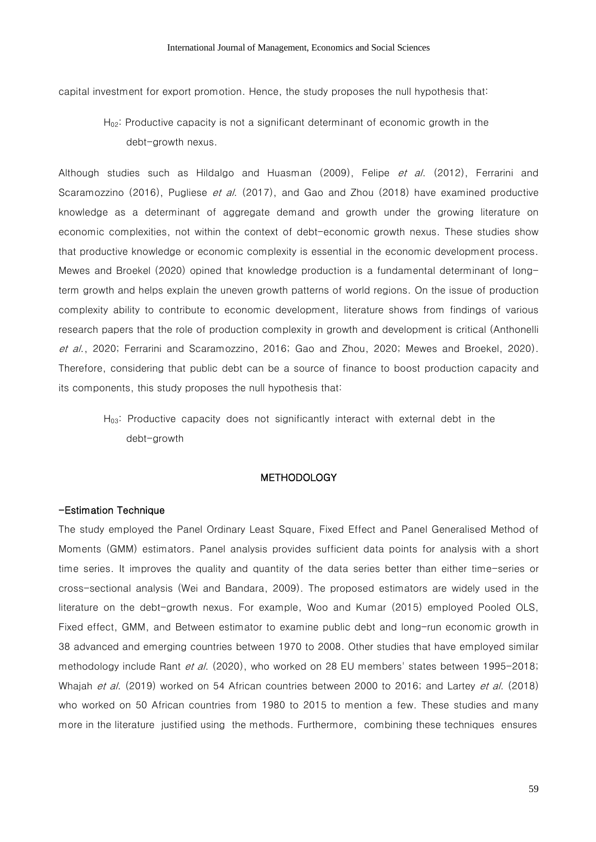capital investment for export promotion. Hence, the study proposes the null hypothesis that:

H<sub>02</sub>: Productive capacity is not a significant determinant of economic growth in the debt-growth nexus.

Although studies such as Hildalgo and Huasman (2009), Felipe et al. (2012), Ferrarini and Scaramozzino (2016), Pugliese et al. (2017), and Gao and Zhou (2018) have examined productive knowledge as a determinant of aggregate demand and growth under the growing literature on economic complexities, not within the context of debt-economic growth nexus. These studies show that productive knowledge or economic complexity is essential in the economic development process. Mewes and Broekel (2020) opined that knowledge production is a fundamental determinant of longterm growth and helps explain the uneven growth patterns of world regions. On the issue of production complexity ability to contribute to economic development, literature shows from findings of various research papers that the role of production complexity in growth and development is critical (Anthonelli et al., 2020; Ferrarini and Scaramozzino, 2016; Gao and Zhou, 2020; Mewes and Broekel, 2020). Therefore, considering that public debt can be a source of finance to boost production capacity and its components, this study proposes the null hypothesis that:

H03: Productive capacity does not significantly interact with external debt in the debt-growth

### **METHODOLOGY**

### -Estimation Technique

The study employed the Panel Ordinary Least Square, Fixed Effect and Panel Generalised Method of Moments (GMM) estimators. Panel analysis provides sufficient data points for analysis with a short time series. It improves the quality and quantity of the data series better than either time-series or cross-sectional analysis (Wei and Bandara, 2009). The proposed estimators are widely used in the literature on the debt-growth nexus. For example, Woo and Kumar (2015) employed Pooled OLS, Fixed effect, GMM, and Between estimator to examine public debt and long-run economic growth in 38 advanced and emerging countries between 1970 to 2008. Other studies that have employed similar methodology include Rant et al. (2020), who worked on 28 EU members' states between 1995-2018; Whajah et al. (2019) worked on 54 African countries between 2000 to 2016; and Lartey et al. (2018) who worked on 50 African countries from 1980 to 2015 to mention a few. These studies and many more in the literature justified using the methods. Furthermore, combining these techniques ensures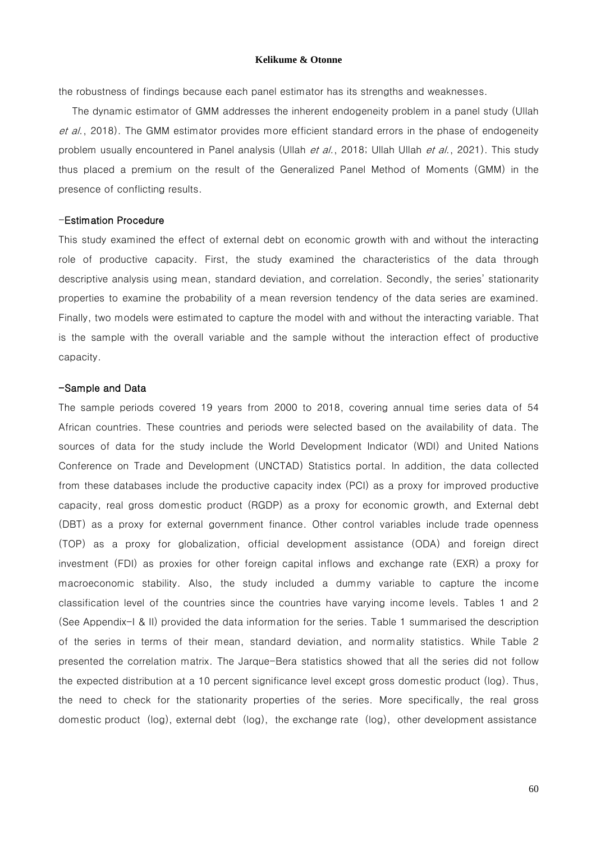the robustness of findings because each panel estimator has its strengths and weaknesses.

The dynamic estimator of GMM addresses the inherent endogeneity problem in a panel study (Ullah et al., 2018). The GMM estimator provides more efficient standard errors in the phase of endogeneity problem usually encountered in Panel analysis (Ullah et al., 2018; Ullah Ullah et al., 2021). This study thus placed a premium on the result of the Generalized Panel Method of Moments (GMM) in the presence of conflicting results.

### -Estimation Procedure

This study examined the effect of external debt on economic growth with and without the interacting role of productive capacity. First, the study examined the characteristics of the data through descriptive analysis using mean, standard deviation, and correlation. Secondly, the series' stationarity properties to examine the probability of a mean reversion tendency of the data series are examined. Finally, two models were estimated to capture the model with and without the interacting variable. That is the sample with the overall variable and the sample without the interaction effect of productive capacity.

### -Sample and Data

The sample periods covered 19 years from 2000 to 2018, covering annual time series data of 54 African countries. These countries and periods were selected based on the availability of data. The sources of data for the study include the World Development Indicator (WDI) and United Nations Conference on Trade and Development (UNCTAD) Statistics portal. In addition, the data collected from these databases include the productive capacity index (PCI) as a proxy for improved productive capacity, real gross domestic product (RGDP) as a proxy for economic growth, and External debt (DBT) as a proxy for external government finance. Other control variables include trade openness (TOP) as a proxy for globalization, official development assistance (ODA) and foreign direct investment (FDI) as proxies for other foreign capital inflows and exchange rate (EXR) a proxy for macroeconomic stability. Also, the study included a dummy variable to capture the income classification level of the countries since the countries have varying income levels. Tables 1 and 2 (See Appendix-I & II) provided the data information for the series. Table 1 summarised the description of the series in terms of their mean, standard deviation, and normality statistics. While Table 2 presented the correlation matrix. The Jarque-Bera statistics showed that all the series did not follow the expected distribution at a 10 percent significance level except gross domestic product (log). Thus, the need to check for the stationarity properties of the series. More specifically, the real gross domestic product (log), external debt (log), the exchange rate (log), other development assistance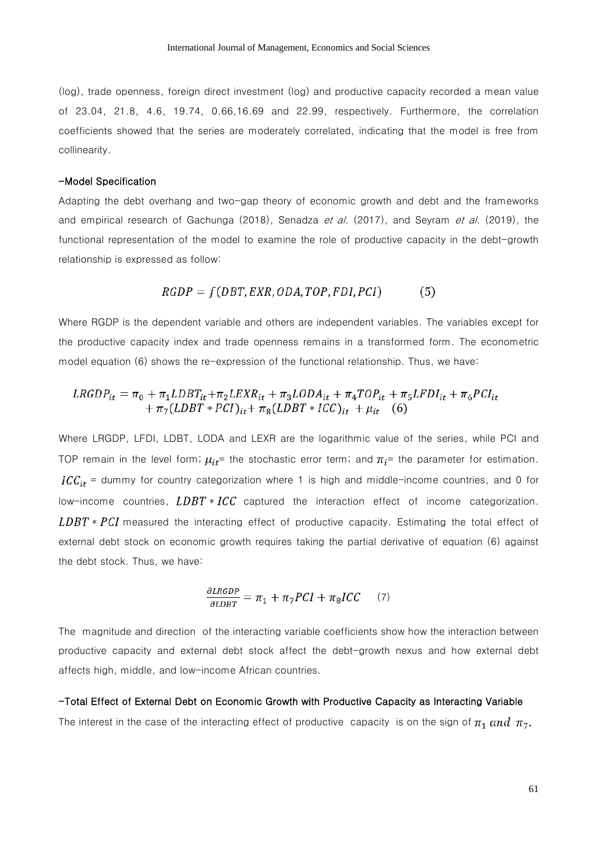(log), trade openness, foreign direct investment (log) and productive capacity recorded a mean value of 23.04, 21.8, 4.6, 19.74, 0.66,16.69 and 22.99, respectively. Furthermore, the correlation coefficients showed that the series are moderately correlated, indicating that the model is free from collinearity.

### -Model Specification

Adapting the debt overhang and two-gap theory of economic growth and debt and the frameworks and empirical research of Gachunga (2018), Senadza et al. (2017), and Seyram et al. (2019), the functional representation of the model to examine the role of productive capacity in the debt-growth relationship is expressed as follow:

#### $RGDP = f(DBT, EXR, ODA, TOP, FDI, PCI)$  $(5)$

Where RGDP is the dependent variable and others are independent variables. The variables except for the productive capacity index and trade openness remains in a transformed form. The econometric model equation (6) shows the re-expression of the functional relationship. Thus, we have:

# $LRGDP_{it} = \pi_0 + \pi_1 LDBT_{it} + \pi_2 LEXR_{it} + \pi_3 LODA_{it} + \pi_4 TOP_{it} + \pi_5 LFDI_{it} + \pi_6 PCI_{it} + \pi_7 (LDBT * PCI)_{it} + \pi_8 (LDBT * ICC)_{it} + \mu_{it}$  (6)

Where LRGDP, LFDI, LDBT, LODA and LEXR are the logarithmic value of the series, while PCI and TOP remain in the level form;  $\mu_{it}$  = the stochastic error term; and  $\pi_i$  = the parameter for estimation.  $ICC_{it}$  = dummy for country categorization where 1 is high and middle-income countries, and 0 for low-income countries,  $LDBT * ICC$  captured the interaction effect of income categorization.  $LDBT * PCI$  measured the interacting effect of productive capacity. Estimating the total effect of external debt stock on economic growth requires taking the partial derivative of equation (6) against the debt stock. Thus, we have:

$$
\frac{\partial \text{LRGDP}}{\partial \text{LDBT}} = \pi_1 + \pi_7 PCI + \pi_8 ICC \qquad (7)
$$

The magnitude and direction of the interacting variable coefficients show how the interaction between productive capacity and external debt stock affect the debt-growth nexus and how external debt affects high, middle, and low-income African countries.

### -Total Effect of External Debt on Economic Growth with Productive Capacity as Interacting Variable The interest in the case of the interacting effect of productive capacity is on the sign of  $\pi_1$  and  $\pi_7$ .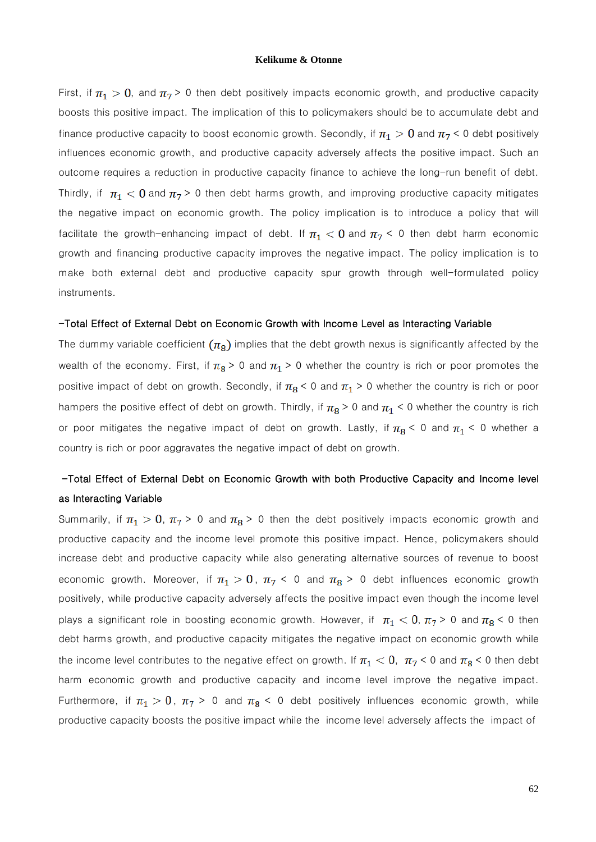First, if  $\pi_1 > 0$ , and  $\pi_7 > 0$  then debt positively impacts economic growth, and productive capacity boosts this positive impact. The implication of this to policymakers should be to accumulate debt and finance productive capacity to boost economic growth. Secondly, if  $\pi_1 > 0$  and  $\pi_7 < 0$  debt positively influences economic growth, and productive capacity adversely affects the positive impact. Such an outcome requires a reduction in productive capacity finance to achieve the long-run benefit of debt. Thirdly, if  $\pi_1$  < 0 and  $\pi_7$  > 0 then debt harms growth, and improving productive capacity mitigates the negative impact on economic growth. The policy implication is to introduce a policy that will facilitate the growth-enhancing impact of debt. If  $\pi_1 < 0$  and  $\pi_7 < 0$  then debt harm economic growth and financing productive capacity improves the negative impact. The policy implication is to make both external debt and productive capacity spur growth through well-formulated policy instruments.

### -Total Effect of External Debt on Economic Growth with Income Level as Interacting Variable

The dummy variable coefficient  $(\pi_8)$  implies that the debt growth nexus is significantly affected by the wealth of the economy. First, if  $\pi_8 > 0$  and  $\pi_1 > 0$  whether the country is rich or poor promotes the positive impact of debt on growth. Secondly, if  $\pi_8$  < 0 and  $\pi_1$  > 0 whether the country is rich or poor hampers the positive effect of debt on growth. Thirdly, if  $\pi_8 > 0$  and  $\pi_1 < 0$  whether the country is rich or poor mitigates the negative impact of debt on growth. Lastly, if  $\pi_8$  < 0 and  $\pi_1$  < 0 whether a country is rich or poor aggravates the negative impact of debt on growth.

### -Total Effect of External Debt on Economic Growth with both Productive Capacity and Income level as Interacting Variable

Summarily, if  $\pi_1 > 0$ ,  $\pi_7 > 0$  and  $\pi_8 > 0$  then the debt positively impacts economic growth and productive capacity and the income level promote this positive impact. Hence, policymakers should increase debt and productive capacity while also generating alternative sources of revenue to boost economic growth. Moreover, if  $\pi_1 > 0$ ,  $\pi_7 < 0$  and  $\pi_8 > 0$  debt influences economic growth positively, while productive capacity adversely affects the positive impact even though the income level plays a significant role in boosting economic growth. However, if  $\pi_1 < 0$ ,  $\pi_7 > 0$  and  $\pi_8 < 0$  then debt harms growth, and productive capacity mitigates the negative impact on economic growth while the income level contributes to the negative effect on growth. If  $\pi_1 < 0$ ,  $\pi_7 < 0$  and  $\pi_8 < 0$  then debt harm economic growth and productive capacity and income level improve the negative impact. Furthermore, if  $\pi_1 > 0$ ,  $\pi_7 > 0$  and  $\pi_8 < 0$  debt positively influences economic growth, while productive capacity boosts the positive impact while the income level adversely affects the impact of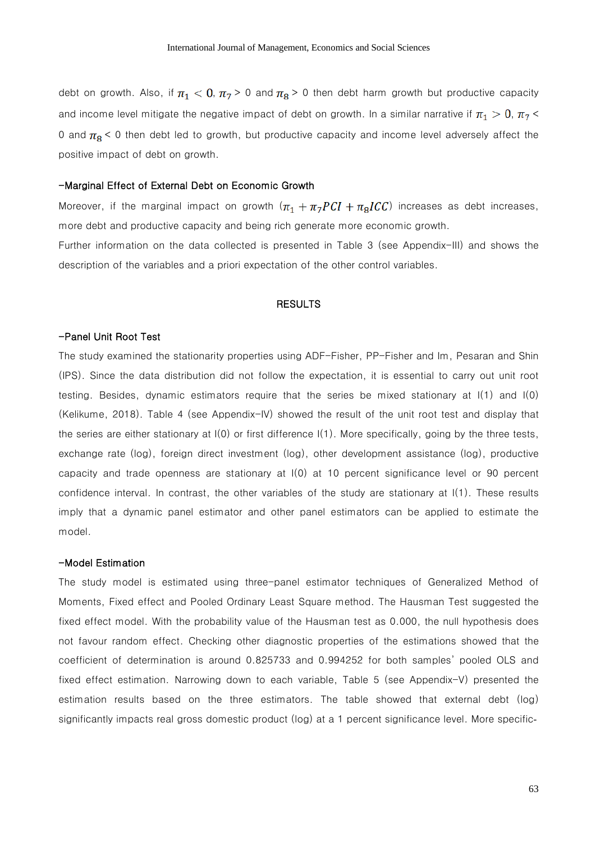debt on growth. Also, if  $\pi_1 < 0$ ,  $\pi_7 > 0$  and  $\pi_8 > 0$  then debt harm growth but productive capacity and income level mitigate the negative impact of debt on growth. In a similar narrative if  $\pi_1 > 0$ ,  $\pi_7 <$ 0 and  $\pi_8$  < 0 then debt led to growth, but productive capacity and income level adversely affect the positive impact of debt on growth.

### -Marginal Effect of External Debt on Economic Growth

Moreover, if the marginal impact on growth  $(\pi_1 + \pi_7 PCI + \pi_8 ICC)$  increases as debt increases, more debt and productive capacity and being rich generate more economic growth.

Further information on the data collected is presented in Table 3 (see Appendix-III) and shows the description of the variables and a priori expectation of the other control variables.

### **RESULTS**

### -Panel Unit Root Test

The study examined the stationarity properties using ADF-Fisher, PP-Fisher and Im, Pesaran and Shin (IPS). Since the data distribution did not follow the expectation, it is essential to carry out unit root testing. Besides, dynamic estimators require that the series be mixed stationary at I(1) and I(0) (Kelikume, 2018). Table 4 (see Appendix-IV) showed the result of the unit root test and display that the series are either stationary at I(0) or first difference I(1). More specifically, going by the three tests, exchange rate (log), foreign direct investment (log), other development assistance (log), productive capacity and trade openness are stationary at I(0) at 10 percent significance level or 90 percent confidence interval. In contrast, the other variables of the study are stationary at I(1). These results imply that a dynamic panel estimator and other panel estimators can be applied to estimate the model.

### -Model Estimation

The study model is estimated using three-panel estimator techniques of Generalized Method of Moments, Fixed effect and Pooled Ordinary Least Square method. The Hausman Test suggested the fixed effect model. With the probability value of the Hausman test as 0.000, the null hypothesis does not favour random effect. Checking other diagnostic properties of the estimations showed that the coefficient of determination is around 0.825733 and 0.994252 for both samples' pooled OLS and fixed effect estimation. Narrowing down to each variable, Table 5 (see Appendix-V) presented the estimation results based on the three estimators. The table showed that external debt (log) significantly impacts real gross domestic product (log) at a 1 percent significance level. More specific-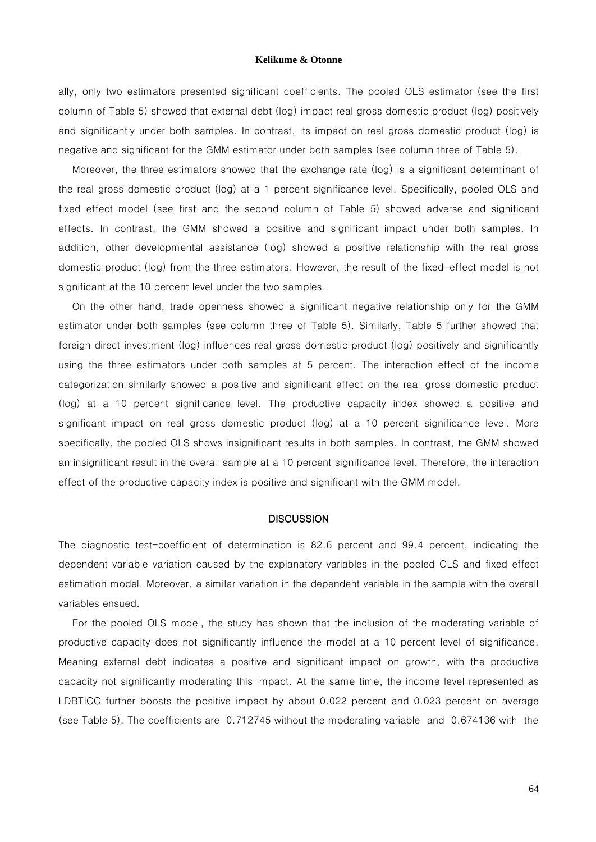ally, only two estimators presented significant coefficients. The pooled OLS estimator (see the first column of Table 5) showed that external debt (log) impact real gross domestic product (log) positively and significantly under both samples. In contrast, its impact on real gross domestic product (log) is negative and significant for the GMM estimator under both samples (see column three of Table 5).

Moreover, the three estimators showed that the exchange rate (log) is a significant determinant of the real gross domestic product (log) at a 1 percent significance level. Specifically, pooled OLS and fixed effect model (see first and the second column of Table 5) showed adverse and significant effects. In contrast, the GMM showed a positive and significant impact under both samples. In addition, other developmental assistance (log) showed a positive relationship with the real gross domestic product (log) from the three estimators. However, the result of the fixed-effect model is not significant at the 10 percent level under the two samples.

On the other hand, trade openness showed a significant negative relationship only for the GMM estimator under both samples (see column three of Table 5). Similarly, Table 5 further showed that foreign direct investment (log) influences real gross domestic product (log) positively and significantly using the three estimators under both samples at 5 percent. The interaction effect of the income categorization similarly showed a positive and significant effect on the real gross domestic product (log) at a 10 percent significance level. The productive capacity index showed a positive and significant impact on real gross domestic product (log) at a 10 percent significance level. More specifically, the pooled OLS shows insignificant results in both samples. In contrast, the GMM showed an insignificant result in the overall sample at a 10 percent significance level. Therefore, the interaction effect of the productive capacity index is positive and significant with the GMM model.

### **DISCUSSION**

The diagnostic test-coefficient of determination is 82.6 percent and 99.4 percent, indicating the dependent variable variation caused by the explanatory variables in the pooled OLS and fixed effect estimation model. Moreover, a similar variation in the dependent variable in the sample with the overall variables ensued.

For the pooled OLS model, the study has shown that the inclusion of the moderating variable of productive capacity does not significantly influence the model at a 10 percent level of significance. Meaning external debt indicates a positive and significant impact on growth, with the productive capacity not significantly moderating this impact. At the same time, the income level represented as LDBTICC further boosts the positive impact by about 0.022 percent and 0.023 percent on average (see Table 5). The coefficients are 0.712745 without the moderating variable and 0.674136 with the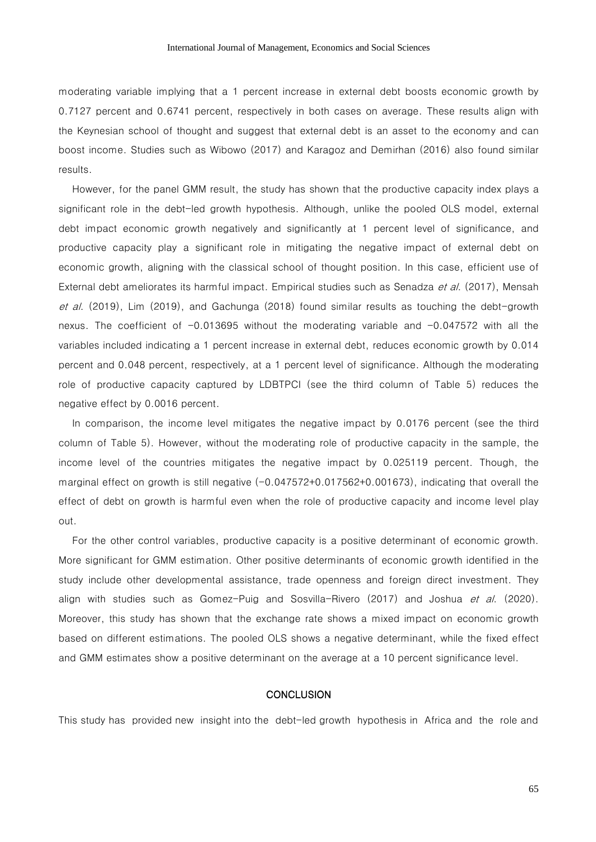moderating variable implying that a 1 percent increase in external debt boosts economic growth by 0.7127 percent and 0.6741 percent, respectively in both cases on average. These results align with the Keynesian school of thought and suggest that external debt is an asset to the economy and can boost income. Studies such as Wibowo (2017) and Karagoz and Demirhan (2016) also found similar results.

However, for the panel GMM result, the study has shown that the productive capacity index plays a significant role in the debt-led growth hypothesis. Although, unlike the pooled OLS model, external debt impact economic growth negatively and significantly at 1 percent level of significance, and productive capacity play a significant role in mitigating the negative impact of external debt on economic growth, aligning with the classical school of thought position. In this case, efficient use of External debt ameliorates its harmful impact. Empirical studies such as Senadza et al. (2017), Mensah et al. (2019), Lim (2019), and Gachunga (2018) found similar results as touching the debt-growth nexus. The coefficient of  $-0.013695$  without the moderating variable and  $-0.047572$  with all the variables included indicating a 1 percent increase in external debt, reduces economic growth by 0.014 percent and 0.048 percent, respectively, at a 1 percent level of significance. Although the moderating role of productive capacity captured by LDBTPCI (see the third column of Table 5) reduces the negative effect by 0.0016 percent.

In comparison, the income level mitigates the negative impact by 0.0176 percent (see the third column of Table 5). However, without the moderating role of productive capacity in the sample, the income level of the countries mitigates the negative impact by 0.025119 percent. Though, the marginal effect on growth is still negative  $(-0.047572+0.017562+0.001673)$ , indicating that overall the effect of debt on growth is harmful even when the role of productive capacity and income level play out.

For the other control variables, productive capacity is a positive determinant of economic growth. More significant for GMM estimation. Other positive determinants of economic growth identified in the study include other developmental assistance, trade openness and foreign direct investment. They align with studies such as Gomez-Puig and Sosvilla-Rivero (2017) and Joshua *et al.* (2020). Moreover, this study has shown that the exchange rate shows a mixed impact on economic growth based on different estimations. The pooled OLS shows a negative determinant, while the fixed effect and GMM estimates show a positive determinant on the average at a 10 percent significance level.

### **CONCLUSION**

This study has provided new insight into the debt-led growth hypothesis in Africa and the role and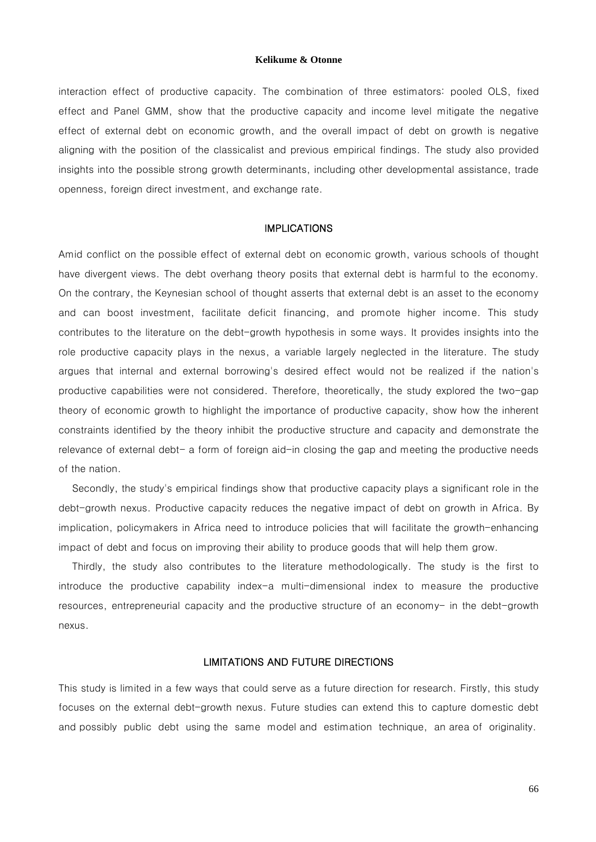interaction effect of productive capacity. The combination of three estimators: pooled OLS, fixed effect and Panel GMM, show that the productive capacity and income level mitigate the negative effect of external debt on economic growth, and the overall impact of debt on growth is negative aligning with the position of the classicalist and previous empirical findings. The study also provided insights into the possible strong growth determinants, including other developmental assistance, trade openness, foreign direct investment, and exchange rate.

### IMPLICATIONS

Amid conflict on the possible effect of external debt on economic growth, various schools of thought have divergent views. The debt overhang theory posits that external debt is harmful to the economy. On the contrary, the Keynesian school of thought asserts that external debt is an asset to the economy and can boost investment, facilitate deficit financing, and promote higher income. This study contributes to the literature on the debt-growth hypothesis in some ways. It provides insights into the role productive capacity plays in the nexus, a variable largely neglected in the literature. The study argues that internal and external borrowing's desired effect would not be realized if the nation's productive capabilities were not considered. Therefore, theoretically, the study explored the two-gap theory of economic growth to highlight the importance of productive capacity, show how the inherent constraints identified by the theory inhibit the productive structure and capacity and demonstrate the relevance of external debt- a form of foreign aid-in closing the gap and meeting the productive needs of the nation.

Secondly, the study's empirical findings show that productive capacity plays a significant role in the debt-growth nexus. Productive capacity reduces the negative impact of debt on growth in Africa. By implication, policymakers in Africa need to introduce policies that will facilitate the growth-enhancing impact of debt and focus on improving their ability to produce goods that will help them grow.

Thirdly, the study also contributes to the literature methodologically. The study is the first to introduce the productive capability index-a multi-dimensional index to measure the productive resources, entrepreneurial capacity and the productive structure of an economy- in the debt-growth nexus.

### LIMITATIONS AND FUTURE DIRECTIONS

This study is limited in a few ways that could serve as a future direction for research. Firstly, this study focuses on the external debt-growth nexus. Future studies can extend this to capture domestic debt and possibly public debt using the same model and estimation technique, an area of originality.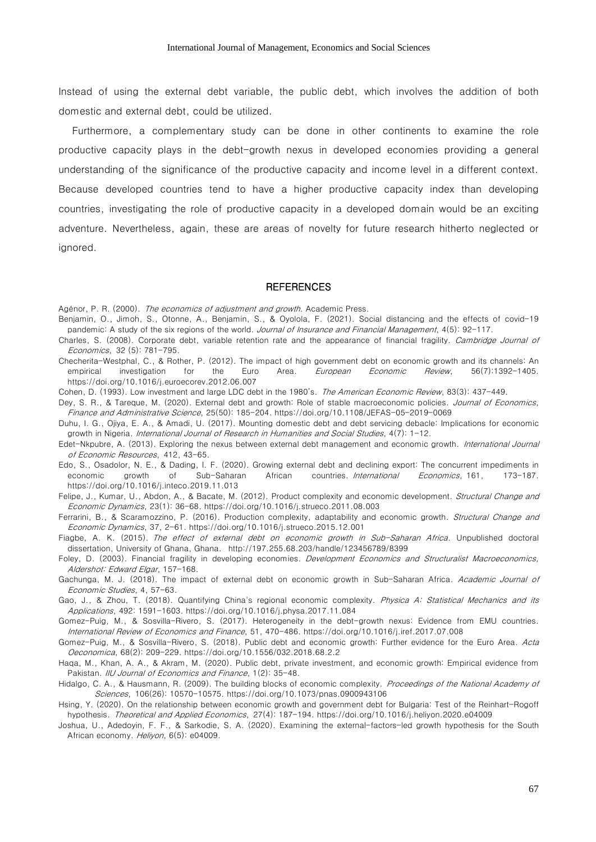Instead of using the external debt variable, the public debt, which involves the addition of both domestic and external debt, could be utilized.

Furthermore, a complementary study can be done in other continents to examine the role productive capacity plays in the debt-growth nexus in developed economies providing a general understanding of the significance of the productive capacity and income level in a different context. Because developed countries tend to have a higher productive capacity index than developing countries, investigating the role of productive capacity in a developed domain would be an exciting adventure. Nevertheless, again, these are areas of novelty for future research hitherto neglected or ignored.

#### **REFERENCES**

- Agénor, P. R. (2000). The economics of adjustment and growth. Academic Press.
- Benjamin, O., Jimoh, S., Otonne, A., Benjamin, S., & Oyolola, F. (2021). Social distancing and the effects of covid-19 pandemic: A study of the six regions of the world. Journal of Insurance and Financial Management, 4(5): 92-117.
- Charles, S. (2008). Corporate debt, variable retention rate and the appearance of financial fragility. Cambridge Journal of Economics, 32 (5): 781-795.
- Checherita-Westphal, C., & Rother, P. (2012). The impact of high government debt on economic growth and its channels: An empirical investigation for the Euro Area. European Economic Review, 56(7):1392-1405. <https://doi.org/10.1016/j.euroecorev.2012.06.007>
- Cohen, D. (1993). Low investment and large LDC debt in the 1980's. The American Economic Review, 83(3): 437-449.
- Dey, S. R., & Tareque, M. (2020). External debt and growth: Role of stable macroeconomic policies. Journal of Economics, Finance and Administrative Science, 25(50): 185-204. <https://doi.org/10.1108/JEFAS-05-2019-0069>
- Duhu, I. G., Ojiya, E. A., & Amadi, U. (2017). Mounting domestic debt and debt servicing debacle: Implications for economic growth in Nigeria. International Journal of Research in Humanities and Social Studies, 4(7): 1-12.
- Edet-Nkpubre, A. (2013). Exploring the nexus between external debt management and economic growth. *International Journal* of Economic Resources, 412, 43-65.
- Edo, S., Osadolor, N. E., & Dading, I. F. (2020). Growing external debt and declining export: The concurrent impediments in economic growth of Sub-Saharan African countries. International Economics, 161, 173-187. <https://doi.org/10.1016/j.inteco.2019.11.013>
- Felipe, J., Kumar, U., Abdon, A., & Bacate, M. (2012). Product complexity and economic development. Structural Change and Economic Dynamics, 23(1): 36-68. <https://doi.org/10.1016/j.strueco.2011.08.003>
- Ferrarini, B., & Scaramozzino, P. (2016). Production complexity, adaptability and economic growth. Structural Change and Economic Dynamics, 37, 2-61. <https://doi.org/10.1016/j.strueco.2015.12.001>
- Fiagbe, A. K. (2015). The effect of external debt on economic growth in Sub-Saharan Africa. Unpublished doctoral dissertation, University of Ghana, Ghana. <http://197.255.68.203/handle/123456789/8399>
- Foley, D. (2003). Financial fragility in developing economies. Development Economics and Structuralist Macroeconomics, Aldershot: Edward Elgar, 157-168.
- Gachunga, M. J. (2018). The impact of external debt on economic growth in Sub-Saharan Africa. Academic Journal of Economic Studies, 4, 57-63.
- Gao, J., & Zhou, T. (2018). Quantifying China's regional economic complexity. Physica A: Statistical Mechanics and its Applications, 492: 1591-1603. <https://doi.org/10.1016/j.physa.2017.11.084>
- Gomez-Puig, M., & Sosvilla-Rivero, S. (2017). Heterogeneity in the debt-growth nexus: Evidence from EMU countries. International Review of Economics and Finance, 51, 470-486. <https://doi.org/10.1016/j.iref.2017.07.008>
- Gomez-Puig, M., & Sosvilla-Rivero, S. (2018). Public debt and economic growth: Further evidence for the Euro Area. Acta Oeconomica, 68(2): 209-229. <https://doi.org/10.1556/032.2018.68.2.2>
- Haqa, M., Khan, A. A., & Akram, M. (2020). Public debt, private investment, and economic growth: Empirical evidence from Pakistan. IIU Journal of Economics and Finance, 1(2): 35-48.
- Hidalgo, C. A., & Hausmann, R. (2009). The building blocks of economic complexity. Proceedings of the National Academy of Sciences, 106(26): 10570-10575[. https://doi.org/10.1073/pnas.0900943106](https://doi.org/10.1073/pnas.0900943106)
- Hsing, Y. (2020). On the relationship between economic growth and government debt for Bulgaria: Test of the Reinhart-Rogoff hypothesis. Theoretical and Applied Economics, 27(4): 187-194. <https://doi.org/10.1016/j.heliyon.2020.e04009>
- Joshua, U., Adedoyin, F. F., & Sarkodie, S. A. (2020). Examining the external-factors-led growth hypothesis for the South African economy. Heliyon, 6(5): e04009.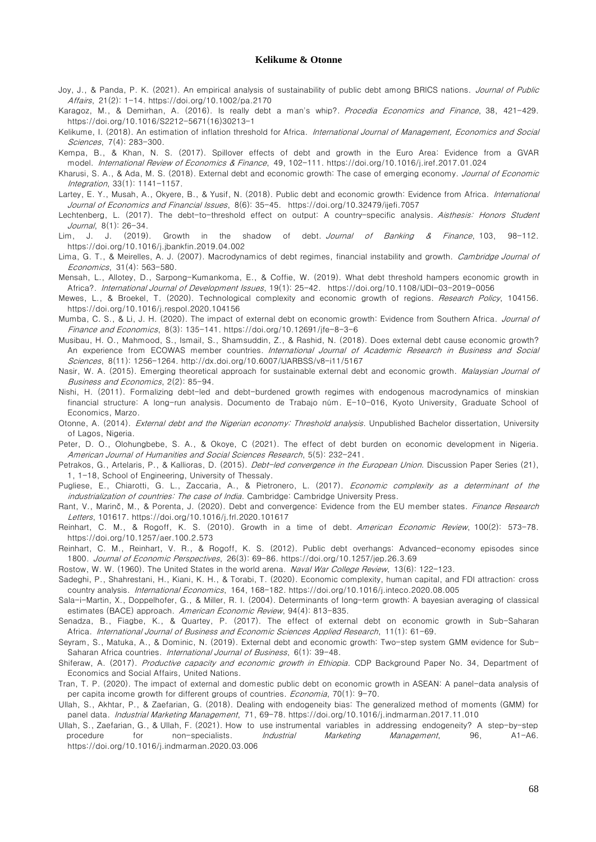- Joy, J., & Panda, P. K. (2021). An empirical analysis of sustainability of public debt among BRICS nations. *Journal of Public* Affairs, 21(2): 1-14. <https://doi.org/10.1002/pa.2170>
- Karagoz, M., & Demirhan, A. (2016). Is really debt a man's whip?. Procedia Economics and Finance, 38, 421-429. [https://doi.org/10.1016/S2212-5671\(16\)30213-1](https://doi.org/10.1016/S2212-5671(16)30213-1)
- Kelikume, I. (2018). An estimation of inflation threshold for Africa. International Journal of Management, Economics and Social Sciences, 7(4): 283-300.
- Kempa, B., & Khan, N. S. (2017). Spillover effects of debt and growth in the Euro Area: Evidence from a GVAR model. International Review of Economics & Finance, 49, 102-111. <https://doi.org/10.1016/j.iref.2017.01.024>
- Kharusi, S. A., & Ada, M. S. (2018). External debt and economic growth: The case of emerging economy. Journal of Economic Integration, 33(1): 1141-1157.
- Lartey, E. Y., Musah, A., Okyere, B., & Yusif, N. (2018). Public debt and economic growth: Evidence from Africa. International Journal of Economics and Financial Issues, 8(6): 35-45. <https://doi.org/10.32479/ijefi.7057>
- Lechtenberg, L. (2017). The debt-to-threshold effect on output: A country-specific analysis. Aisthesis: Honors Student Journal, 8(1): 26-34.
- Lim, J. J. (2019). Growth in the shadow of debt. Journal of Banking & Finance, 103, 98-112. <https://doi.org/10.1016/j.jbankfin.2019.04.002>
- Lima, G. T., & Meirelles, A. J. (2007). Macrodynamics of debt regimes, financial instability and growth. Cambridge Journal of Economics, 31(4): 563-580.
- Mensah, L., Allotey, D., Sarpong-Kumankoma, E., & Coffie, W. (2019). What debt threshold hampers economic growth in Africa?. International Journal of Development Issues, 19(1): 25-42. <https://doi.org/10.1108/IJDI-03-2019-0056>
- Mewes, L., & Broekel, T. (2020). Technological complexity and economic growth of regions. Research Policy, 104156. <https://doi.org/10.1016/j.respol.2020.104156>
- Mumba, C. S., & Li, J. H. (2020). The impact of external debt on economic growth: Evidence from Southern Africa. Journal of Finance and Economics, 8(3): 135-141. <https://doi.org/10.12691/jfe-8-3-6>
- Musibau, H. O., Mahmood, S., Ismail, S., Shamsuddin, Z., & Rashid, N. (2018). Does external debt cause economic growth? An experience from ECOWAS member countries. International Journal of Academic Research in Business and Social Sciences, 8(11): 1256-1264. <http://dx.doi.org/10.6007/IJARBSS/v8-i11/5167>
- Nasir, W. A. (2015). Emerging theoretical approach for sustainable external debt and economic growth. Malaysian Journal of Business and Economics, 2(2): 85-94.
- Nishi, H. (2011). Formalizing debt-led and debt-burdened growth regimes with endogenous macrodynamics of minskian financial structure: A long-run analysis. Documento de Trabajo núm. E-10-016, Kyoto University, Graduate School of Economics, Marzo.
- Otonne, A. (2014). External debt and the Nigerian economy: Threshold analysis. Unpublished Bachelor dissertation, University of Lagos, Nigeria.
- Peter, D. O., Olohungbebe, S. A., & Okoye, C (2021). The effect of debt burden on economic development in Nigeria. American Journal of Humanities and Social Sciences Research, 5(5): 232-241.
- Petrakos, G., Artelaris, P., & Kallioras, D. (2015). *Debt-led convergence in the European Union*. Discussion Paper Series (21), 1, 1-18, School of Engineering, University of Thessaly.
- Pugliese, E., Chiarotti, G. L., Zaccaria, A., & Pietronero, L. (2017). Economic complexity as a determinant of the industrialization of countries: The case of India. Cambridge: Cambridge University Press.
- Rant, V., Marinč, M., & Porenta, J. (2020). Debt and convergence: Evidence from the EU member states. Finance Research Letters, 101617. <https://doi.org/10.1016/j.frl.2020.101617>
- Reinhart, C. M., & Rogoff, K. S. (2010). Growth in a time of debt. American Economic Review, 100(2): 573-78. <https://doi.org/10.1257/aer.100.2.573>
- Reinhart, C. M., Reinhart, V. R., & Rogoff, K. S. (2012). Public debt overhangs: Advanced-economy episodes since 1800. Journal of Economic Perspectives, 26(3): 69-86. <https://doi.org/10.1257/jep.26.3.69>
- Rostow, W. W. (1960). The United States in the world arena. Naval War College Review, 13(6): 122-123.
- Sadeghi, P., Shahrestani, H., Kiani, K. H., & Torabi, T. (2020). Economic complexity, human capital, and FDI attraction: cross country analysis. International Economics, 164, 168-182. <https://doi.org/10.1016/j.inteco.2020.08.005>
- Sala-i-Martin, X., Doppelhofer, G., & Miller, R. I. (2004). Determinants of long-term growth: A bayesian averaging of classical estimates (BACE) approach. American Economic Review, 94(4): 813-835.
- Senadza, B., Fiagbe, K., & Quartey, P. (2017). The effect of external debt on economic growth in Sub-Saharan Africa. International Journal of Business and Economic Sciences Applied Research, 11(1): 61-69.
- Seyram, S., Matuka, A., & Dominic, N. (2019). External debt and economic growth: Two-step system GMM evidence for Sub-Saharan Africa countries. International Journal of Business, 6(1): 39-48.
- Shiferaw, A. (2017). Productive capacity and economic growth in Ethiopia. CDP Background Paper No. 34, Department of Economics and Social Affairs, United Nations.
- Tran, T. P. (2020). The impact of external and domestic public debt on economic growth in ASEAN: A panel-data analysis of per capita income growth for different groups of countries. *Economia*, 70(1): 9-70.
- Ullah, S., Akhtar, P., & Zaefarian, G. (2018). Dealing with endogeneity bias: The generalized method of moments (GMM) for panel data. Industrial Marketing Management, 71, 69-78. <https://doi.org/10.1016/j.indmarman.2017.11.010>
- Ullah, S., Zaefarian, G., & Ullah, F. (2021). How to use instrumental variables in addressing endogeneity? A step-by-step procedure for non-specialists. *Industrial Marketing Management*, 96, A1-A6. <https://doi.org/10.1016/j.indmarman.2020.03.006>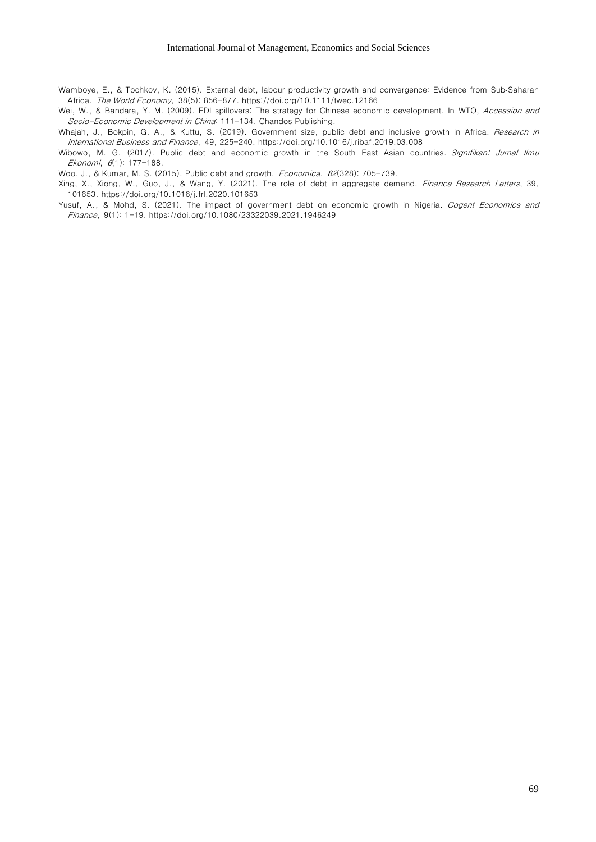- Wamboye, E., & Tochkov, K. (2015). External debt, labour productivity growth and convergence: Evidence from Sub‐Saharan Africa. The World Economy, 38(5): 856-877. <https://doi.org/10.1111/twec.12166>
- Wei, W., & Bandara, Y. M. (2009). FDI spillovers: The strategy for Chinese economic development. In WTO, Accession and Socio-Economic Development in China: 111-134, Chandos Publishing.

Whajah, J., Bokpin, G. A., & Kuttu, S. (2019). Government size, public debt and inclusive growth in Africa. Research in International Business and Finance, 49, 225-240. <https://doi.org/10.1016/j.ribaf.2019.03.008>

Wibowo, M. G. (2017). Public debt and economic growth in the South East Asian countries. Signifikan: Jurnal Ilmu Ekonomi, 6(1): 177-188.

Woo, J., & Kumar, M. S. (2015). Public debt and growth. Economica, 82(328): 705-739.

- Xing, X., Xiong, W., Guo, J., & Wang, Y. (2021). The role of debt in aggregate demand. Finance Research Letters, 39, 101653. <https://doi.org/10.1016/j.frl.2020.101653>
- Yusuf, A., & Mohd, S. (2021). The impact of government debt on economic growth in Nigeria. Cogent Economics and Finance, 9(1): 1-19. <https://doi.org/10.1080/23322039.2021.1946249>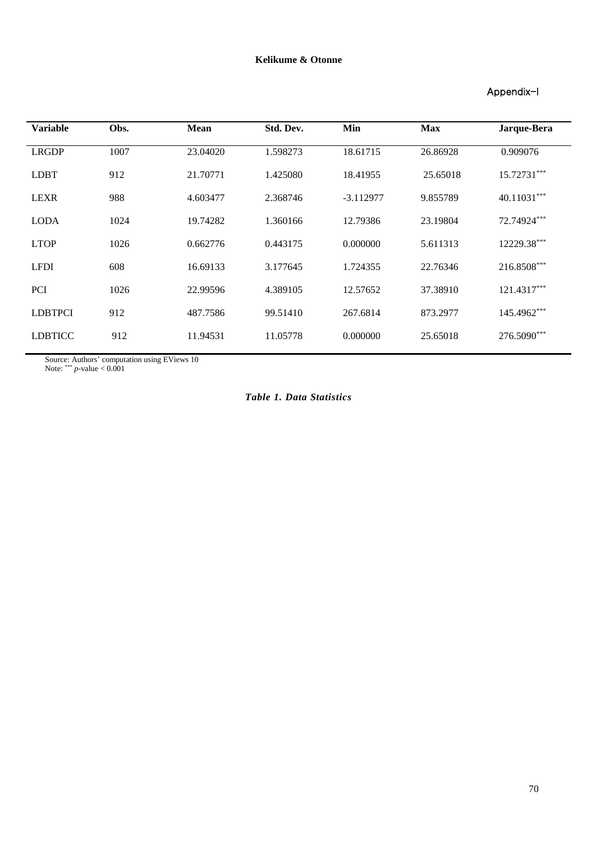### Appendix-I

| <b>Variable</b> | Obs. | <b>Mean</b> | Std. Dev. | Min         | <b>Max</b> | Jarque-Bera |
|-----------------|------|-------------|-----------|-------------|------------|-------------|
| <b>LRGDP</b>    | 1007 | 23.04020    | 1.598273  | 18.61715    | 26.86928   | 0.909076    |
| <b>LDBT</b>     | 912  | 21.70771    | 1.425080  | 18.41955    | 25.65018   | 15.72731*** |
| <b>LEXR</b>     | 988  | 4.603477    | 2.368746  | $-3.112977$ | 9.855789   | 40.11031*** |
| <b>LODA</b>     | 1024 | 19.74282    | 1.360166  | 12.79386    | 23.19804   | 72.74924*** |
| <b>LTOP</b>     | 1026 | 0.662776    | 0.443175  | 0.000000    | 5.611313   | 12229.38*** |
| <b>LFDI</b>     | 608  | 16.69133    | 3.177645  | 1.724355    | 22.76346   | 216.8508*** |
| <b>PCI</b>      | 1026 | 22.99596    | 4.389105  | 12.57652    | 37.38910   | 121.4317*** |
| <b>LDBTPCI</b>  | 912  | 487.7586    | 99.51410  | 267.6814    | 873.2977   | 145.4962*** |
| <b>LDBTICC</b>  | 912  | 11.94531    | 11.05778  | 0.000000    | 25.65018   | 276.5090*** |
|                 |      |             |           |             |            |             |

Source: Authors' computation using EViews 10

Note: \*\*\* *p*-value < 0.001

### *Table 1. Data Statistics*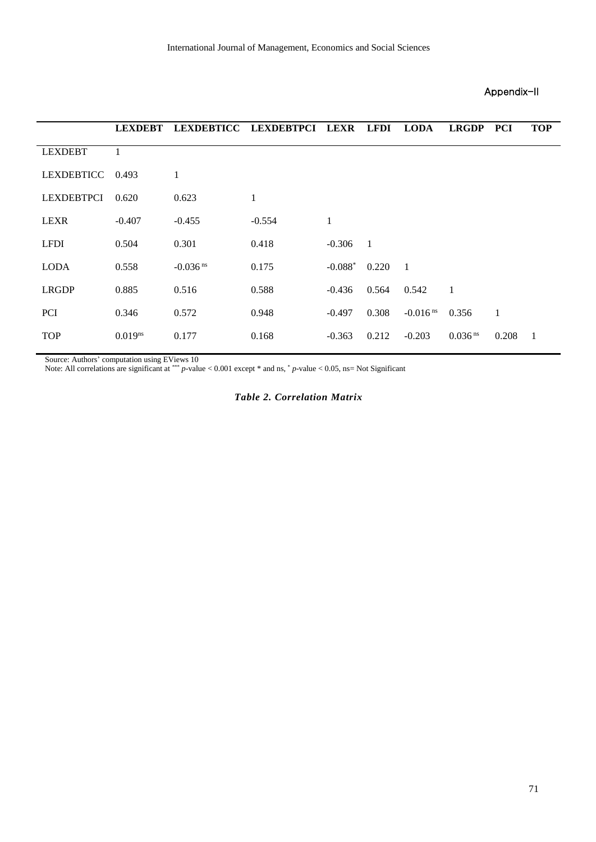### Appendix-II

|                   | <b>LEXDEBT</b>      |                        | LEXDEBTICC LEXDEBTPCI LEXR LFDI |           |       | <b>LODA</b>            | <b>LRGDP</b>        | <b>PCI</b> | <b>TOP</b>     |
|-------------------|---------------------|------------------------|---------------------------------|-----------|-------|------------------------|---------------------|------------|----------------|
| <b>LEXDEBT</b>    | 1                   |                        |                                 |           |       |                        |                     |            |                |
| LEXDEBTICC        | 0.493               | 1                      |                                 |           |       |                        |                     |            |                |
| <b>LEXDEBTPCI</b> | 0.620               | 0.623                  | $\mathbf{1}$                    |           |       |                        |                     |            |                |
| <b>LEXR</b>       | $-0.407$            | $-0.455$               | $-0.554$                        | 1         |       |                        |                     |            |                |
| <b>LFDI</b>       | 0.504               | 0.301                  | 0.418                           | $-0.306$  | 1     |                        |                     |            |                |
| <b>LODA</b>       | 0.558               | $-0.036$ <sup>ns</sup> | 0.175                           | $-0.088*$ | 0.220 | - 1                    |                     |            |                |
| <b>LRGDP</b>      | 0.885               | 0.516                  | 0.588                           | $-0.436$  | 0.564 | 0.542                  | 1                   |            |                |
| <b>PCI</b>        | 0.346               | 0.572                  | 0.948                           | $-0.497$  | 0.308 | $-0.016$ <sup>ns</sup> | 0.356               | 1          |                |
| <b>TOP</b>        | 0.019 <sup>ns</sup> | 0.177                  | 0.168                           | $-0.363$  | 0.212 | $-0.203$               | 0.036 <sup>ns</sup> | 0.208      | $\overline{1}$ |

Source: Authors' computation using EViews 10

Note: All correlations are significant at \*\*\* *p*-value < 0.001 except \* and ns, \* *p*-value < 0.05, ns= Not Significant

### *Table 2. Correlation Matrix*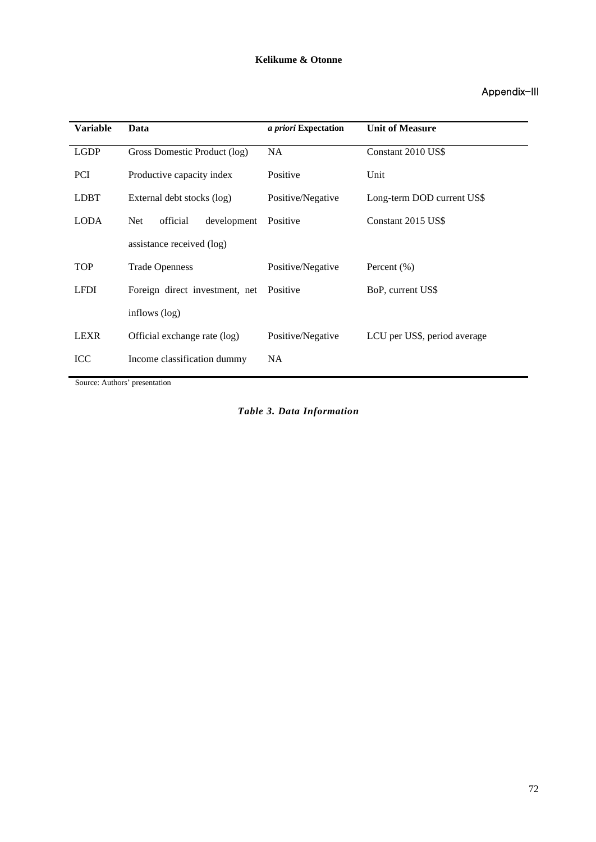### Appendix-III

| <b>Variable</b> | Data                                  | <i>a priori</i> Expectation | <b>Unit of Measure</b>       |  |  |
|-----------------|---------------------------------------|-----------------------------|------------------------------|--|--|
| <b>LGDP</b>     | Gross Domestic Product (log)          | <b>NA</b>                   | Constant 2010 US\$           |  |  |
| <b>PCI</b>      | Productive capacity index             | Positive                    | Unit                         |  |  |
| <b>LDBT</b>     | External debt stocks (log)            | Positive/Negative           | Long-term DOD current US\$   |  |  |
| <b>LODA</b>     | official<br>development<br><b>Net</b> | Positive                    | Constant 2015 US\$           |  |  |
|                 | assistance received (log)             |                             |                              |  |  |
| <b>TOP</b>      | <b>Trade Openness</b>                 | Positive/Negative           | Percent $(\% )$              |  |  |
| <b>LFDI</b>     | Foreign direct investment, net        | Positive                    | BoP, current US\$            |  |  |
|                 | inflows (log)                         |                             |                              |  |  |
| <b>LEXR</b>     | Official exchange rate (log)          | Positive/Negative           | LCU per US\$, period average |  |  |
| <b>ICC</b>      | Income classification dummy           | NA                          |                              |  |  |

Source: Authors' presentation

*Table 3. Data Information*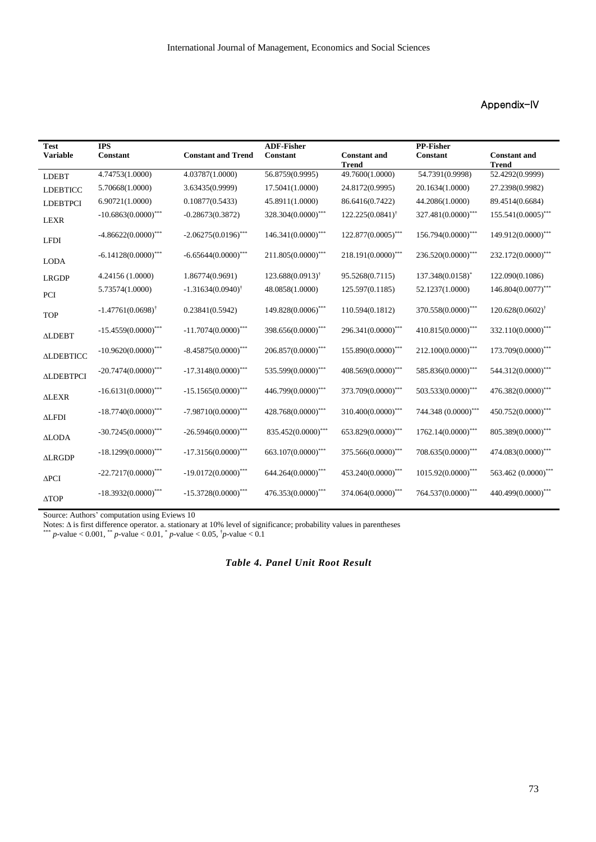### Appendix-IV

| <b>Test</b><br><b>Variable</b> | <b>IPS</b><br><b>Constant</b>   | <b>Constant and Trend</b>       | <b>ADF-Fisher</b><br><b>Constant</b> | <b>Constant and</b><br><b>Trend</b> | <b>PP-Fisher</b><br><b>Constant</b> | <b>Constant and</b><br><b>Trend</b> |
|--------------------------------|---------------------------------|---------------------------------|--------------------------------------|-------------------------------------|-------------------------------------|-------------------------------------|
| <b>LDEBT</b>                   | 4.74753(1.0000)                 | 4.03787(1.0000)                 | 56.8759(0.9995)                      | 49.7600(1.0000)                     | 54.7391(0.9998)                     | 52.4292(0.9999)                     |
| <b>LDEBTICC</b>                | 5.70668(1.0000)                 | 3.63435(0.9999)                 | 17.5041(1.0000)                      | 24.8172(0.9995)                     | 20.1634(1.0000)                     | 27.2398(0.9982)                     |
| <b>LDEBTPCI</b>                | 6.90721(1.0000)                 | 0.10877(0.5433)                 | 45.8911(1.0000)                      | 86.6416(0.7422)                     | 44.2086(1.0000)                     | 89.4514(0.6684)                     |
| <b>LEXR</b>                    | $-10.6863(0.0000)$ ***          | $-0.28673(0.3872)$              | 328.304(0.0000)***                   | $122.225(0.0841)$ <sup>†</sup>      | 327.481(0.0000)***                  | $155.541(0.0005)$ ***               |
| <b>LFDI</b>                    | $-4.86622(0.0000)$ ***          | $-2.06275(0.0196)$ ***          | $146.341(0.0000)$ ***                | $122.877(0.0005)$ ***               | 156.794(0.0000)***                  | 149.912(0.0000)***                  |
| <b>LODA</b>                    | $-6.14128(0.0000)$ ***          | $-6.65644(0.0000)$ ***          | $211.805(0.0000)$ ***                | 218.191(0.0000)***                  | 236.520(0.0000)***                  | 232.172(0.0000)***                  |
| <b>LRGDP</b>                   | 4.24156 (1.0000)                | 1.86774(0.9691)                 | $123.688(0.0913)^{\dagger}$          | 95.5268(0.7115)                     | 137.348(0.0158)*                    | 122.090(0.1086)                     |
| PCI                            | 5.73574(1.0000)                 | $-1.31634(0.0940)$ <sup>†</sup> | 48.0858(1.0000)                      | 125.597(0.1185)                     | 52.1237(1.0000)                     | 146.804(0.0077)***                  |
| <b>TOP</b>                     | $-1.47761(0.0698)$ <sup>†</sup> | 0.23841(0.5942)                 | 149.828(0.0006)***                   | 110.594(0.1812)                     | 370.558(0.0000)***                  | $120.628(0.0602)$ <sup>†</sup>      |
| <b>ALDEBT</b>                  | $-15.4559(0.0000)$ ***          | $-11.7074(0.0000)$ ***          | $398.656(0.0000)$ ***                | $296.341(0.0000)$ ***               | 410.815(0.0000)***                  | 332.110(0.0000)***                  |
| <b>ALDEBTICC</b>               | $-10.9620(0.0000)$ ***          | $-8.45875(0.0000)$ ***          | $206.857(0.0000)$ ***                | 155.890(0.0000)***                  | $212.100(0.0000)$ ***               | 173.709(0.0000)***                  |
| <b>ALDEBTPCI</b>               | $-20.7474(0.0000)$ ***          | $-17.3148(0.0000)$ ***          | 535.599(0.0000)***                   | 408.569(0.0000)***                  | 585.836(0.0000)***                  | 544.312(0.0000)***                  |
| <b>ALEXR</b>                   | $-16.6131(0.0000)$ ***          | $-15.1565(0.0000)$ ***          | 446.799(0.0000)***                   | 373.709(0.0000)***                  | 503.533(0.0000)***                  | 476.382(0.0000)***                  |
| <b>ALFDI</b>                   | $-18.7740(0.0000)$ ***          | $-7.98710(0.0000)$ ***          | 428.768(0.0000)***                   | 310.400(0.0000)***                  | 744.348 (0.0000)***                 | 450.752(0.0000)***                  |
| <b>ALODA</b>                   | $-30.7245(0.0000)$ ***          | $-26.5946(0.0000)$ ***          | 835.452(0.0000)***                   | 653.829(0.0000)***                  | 1762.14(0.0000)***                  | 805.389(0.0000)***                  |
| <b>ALRGDP</b>                  | $-18.1299(0.0000)$ ***          | $-17.3156(0.0000)$ ***          | 663.107(0.0000)***                   | $375.566(0.0000)$ ***               | 708.635(0.0000)***                  | 474.083(0.0000)***                  |
| $\Delta$ PCI                   | $-22.7217(0.0000)$ ***          | $-19.0172(0.0000)$ ***          | $644.264(0.0000) ^{***}$             | 453.240(0.0000)***                  | $1015.92(0.0000)$ ***               | 563.462 (0.0000)***                 |
| <b>ATOP</b>                    | $-18.3932(0.0000)$ ***          | $-15.3728(0.0000)$ ***          | 476.353(0.0000)***                   | 374.064(0.0000)***                  | 764.537(0.0000)***                  | 440.499(0.0000)***                  |

Source: Authors' computation using Eviews 10

Notes:  $\Delta$  is first difference operator. a. stationary at 10% level of significance; probability values in parentheses \*\*\* *p*-value < 0.001, \*\* *p*-value < 0.01, \* *p*-value < 0.05, †*p*-value < 0.1

*Table 4. Panel Unit Root Result*